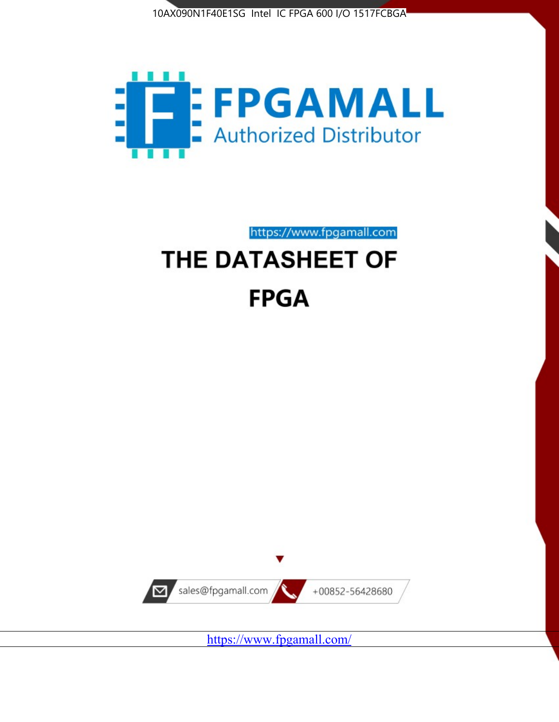



https://www.fpgamall.com THE DATASHEET OF

# **FPGA**



<https://www.fpgamall.com/>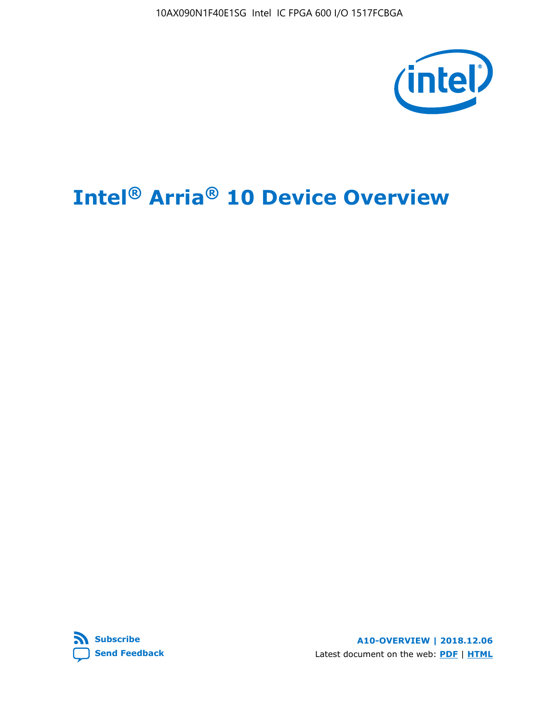10AX090N1F40E1SG Intel IC FPGA 600 I/O 1517FCBGA



## **Intel® Arria® 10 Device Overview**



**A10-OVERVIEW | 2018.12.06** Latest document on the web: **[PDF](https://www.intel.com/content/dam/www/programmable/us/en/pdfs/literature/hb/arria-10/a10_overview.pdf)** | **[HTML](https://www.intel.com/content/www/us/en/programmable/documentation/sam1403480274650.html)**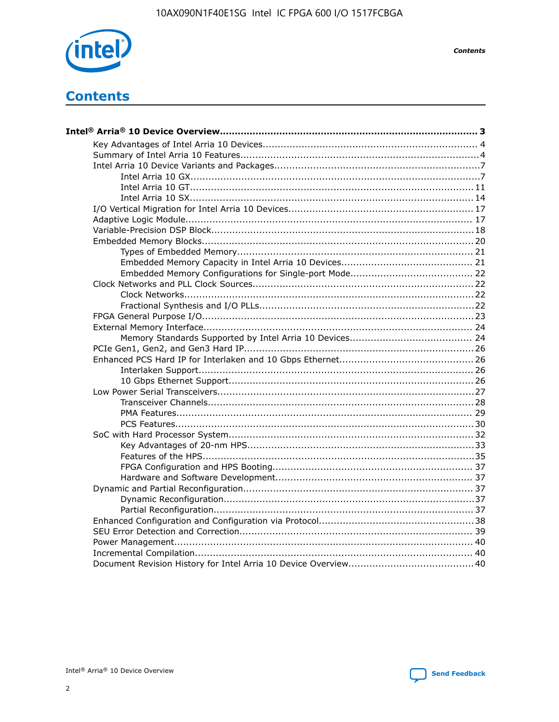

**Contents** 

## **Contents**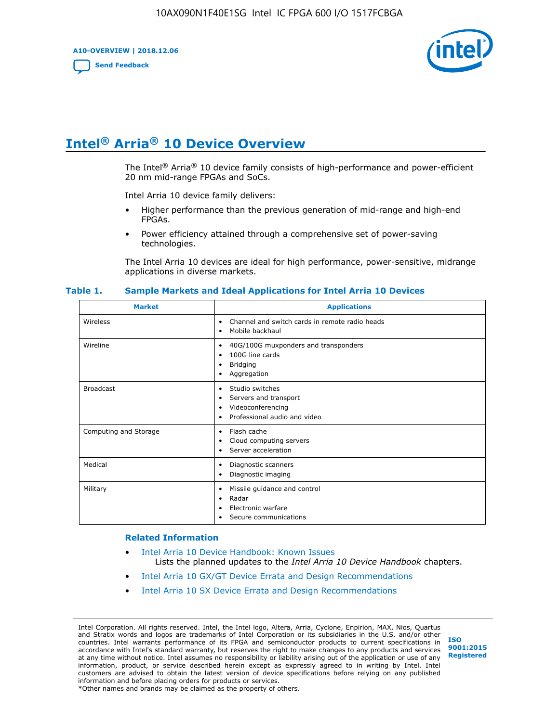**A10-OVERVIEW | 2018.12.06**

**[Send Feedback](mailto:FPGAtechdocfeedback@intel.com?subject=Feedback%20on%20Intel%20Arria%2010%20Device%20Overview%20(A10-OVERVIEW%202018.12.06)&body=We%20appreciate%20your%20feedback.%20In%20your%20comments,%20also%20specify%20the%20page%20number%20or%20paragraph.%20Thank%20you.)**



## **Intel® Arria® 10 Device Overview**

The Intel<sup>®</sup> Arria<sup>®</sup> 10 device family consists of high-performance and power-efficient 20 nm mid-range FPGAs and SoCs.

Intel Arria 10 device family delivers:

- Higher performance than the previous generation of mid-range and high-end FPGAs.
- Power efficiency attained through a comprehensive set of power-saving technologies.

The Intel Arria 10 devices are ideal for high performance, power-sensitive, midrange applications in diverse markets.

| <b>Market</b>         | <b>Applications</b>                                                                                               |
|-----------------------|-------------------------------------------------------------------------------------------------------------------|
| Wireless              | Channel and switch cards in remote radio heads<br>٠<br>Mobile backhaul<br>٠                                       |
| Wireline              | 40G/100G muxponders and transponders<br>٠<br>100G line cards<br>٠<br>Bridging<br>٠<br>Aggregation<br>٠            |
| <b>Broadcast</b>      | Studio switches<br>٠<br>Servers and transport<br>٠<br>Videoconferencing<br>٠<br>Professional audio and video<br>٠ |
| Computing and Storage | Flash cache<br>٠<br>Cloud computing servers<br>٠<br>Server acceleration<br>$\bullet$                              |
| Medical               | Diagnostic scanners<br>٠<br>Diagnostic imaging<br>٠                                                               |
| Military              | Missile guidance and control<br>٠<br>Radar<br>٠<br>Electronic warfare<br>٠<br>Secure communications<br>٠          |

#### **Table 1. Sample Markets and Ideal Applications for Intel Arria 10 Devices**

#### **Related Information**

- [Intel Arria 10 Device Handbook: Known Issues](http://www.altera.com/support/kdb/solutions/rd07302013_646.html) Lists the planned updates to the *Intel Arria 10 Device Handbook* chapters.
- [Intel Arria 10 GX/GT Device Errata and Design Recommendations](https://www.intel.com/content/www/us/en/programmable/documentation/agz1493851706374.html#yqz1494433888646)
- [Intel Arria 10 SX Device Errata and Design Recommendations](https://www.intel.com/content/www/us/en/programmable/documentation/cru1462832385668.html#cru1462832558642)

Intel Corporation. All rights reserved. Intel, the Intel logo, Altera, Arria, Cyclone, Enpirion, MAX, Nios, Quartus and Stratix words and logos are trademarks of Intel Corporation or its subsidiaries in the U.S. and/or other countries. Intel warrants performance of its FPGA and semiconductor products to current specifications in accordance with Intel's standard warranty, but reserves the right to make changes to any products and services at any time without notice. Intel assumes no responsibility or liability arising out of the application or use of any information, product, or service described herein except as expressly agreed to in writing by Intel. Intel customers are advised to obtain the latest version of device specifications before relying on any published information and before placing orders for products or services. \*Other names and brands may be claimed as the property of others.

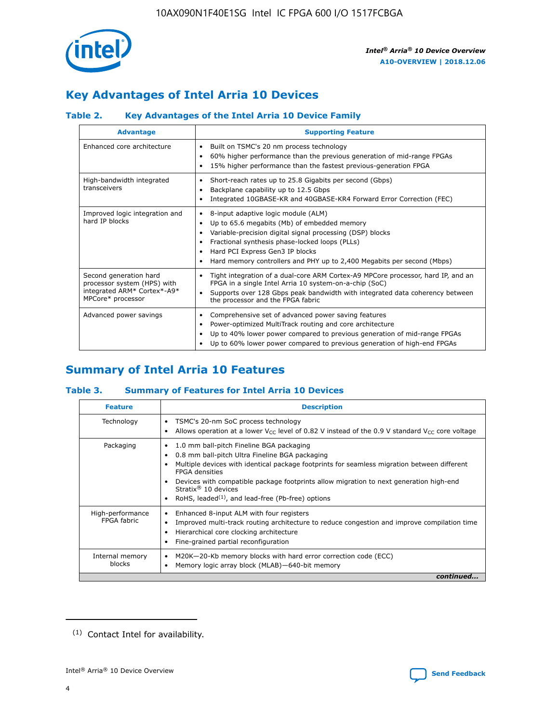

## **Key Advantages of Intel Arria 10 Devices**

#### **Table 2. Key Advantages of the Intel Arria 10 Device Family**

| <b>Advantage</b>                                                                                          | <b>Supporting Feature</b>                                                                                                                                                                                                                                                                                                |  |  |  |  |  |
|-----------------------------------------------------------------------------------------------------------|--------------------------------------------------------------------------------------------------------------------------------------------------------------------------------------------------------------------------------------------------------------------------------------------------------------------------|--|--|--|--|--|
| Enhanced core architecture                                                                                | Built on TSMC's 20 nm process technology<br>٠<br>60% higher performance than the previous generation of mid-range FPGAs<br>٠<br>15% higher performance than the fastest previous-generation FPGA<br>٠                                                                                                                    |  |  |  |  |  |
| High-bandwidth integrated<br>transceivers                                                                 | Short-reach rates up to 25.8 Gigabits per second (Gbps)<br>٠<br>Backplane capability up to 12.5 Gbps<br>٠<br>Integrated 10GBASE-KR and 40GBASE-KR4 Forward Error Correction (FEC)<br>٠                                                                                                                                   |  |  |  |  |  |
| Improved logic integration and<br>hard IP blocks                                                          | 8-input adaptive logic module (ALM)<br>٠<br>Up to 65.6 megabits (Mb) of embedded memory<br>٠<br>Variable-precision digital signal processing (DSP) blocks<br>Fractional synthesis phase-locked loops (PLLs)<br>Hard PCI Express Gen3 IP blocks<br>Hard memory controllers and PHY up to 2,400 Megabits per second (Mbps) |  |  |  |  |  |
| Second generation hard<br>processor system (HPS) with<br>integrated ARM* Cortex*-A9*<br>MPCore* processor | Tight integration of a dual-core ARM Cortex-A9 MPCore processor, hard IP, and an<br>٠<br>FPGA in a single Intel Arria 10 system-on-a-chip (SoC)<br>Supports over 128 Gbps peak bandwidth with integrated data coherency between<br>$\bullet$<br>the processor and the FPGA fabric                                        |  |  |  |  |  |
| Advanced power savings                                                                                    | Comprehensive set of advanced power saving features<br>٠<br>Power-optimized MultiTrack routing and core architecture<br>٠<br>Up to 40% lower power compared to previous generation of mid-range FPGAs<br>Up to 60% lower power compared to previous generation of high-end FPGAs                                         |  |  |  |  |  |

## **Summary of Intel Arria 10 Features**

#### **Table 3. Summary of Features for Intel Arria 10 Devices**

| <b>Feature</b>                  | <b>Description</b>                                                                                                                                                                                                                                                                                                                                                                                       |
|---------------------------------|----------------------------------------------------------------------------------------------------------------------------------------------------------------------------------------------------------------------------------------------------------------------------------------------------------------------------------------------------------------------------------------------------------|
| Technology                      | TSMC's 20-nm SoC process technology<br>٠<br>Allows operation at a lower $V_{\text{CC}}$ level of 0.82 V instead of the 0.9 V standard $V_{\text{CC}}$ core voltage                                                                                                                                                                                                                                       |
| Packaging                       | 1.0 mm ball-pitch Fineline BGA packaging<br>0.8 mm ball-pitch Ultra Fineline BGA packaging<br>Multiple devices with identical package footprints for seamless migration between different<br><b>FPGA</b> densities<br>Devices with compatible package footprints allow migration to next generation high-end<br>Stratix $\mathcal{R}$ 10 devices<br>RoHS, leaded $(1)$ , and lead-free (Pb-free) options |
| High-performance<br>FPGA fabric | Enhanced 8-input ALM with four registers<br>٠<br>Improved multi-track routing architecture to reduce congestion and improve compilation time<br>Hierarchical core clocking architecture<br>Fine-grained partial reconfiguration                                                                                                                                                                          |
| Internal memory<br>blocks       | M20K-20-Kb memory blocks with hard error correction code (ECC)<br>Memory logic array block (MLAB)-640-bit memory                                                                                                                                                                                                                                                                                         |
|                                 | continued                                                                                                                                                                                                                                                                                                                                                                                                |



<sup>(1)</sup> Contact Intel for availability.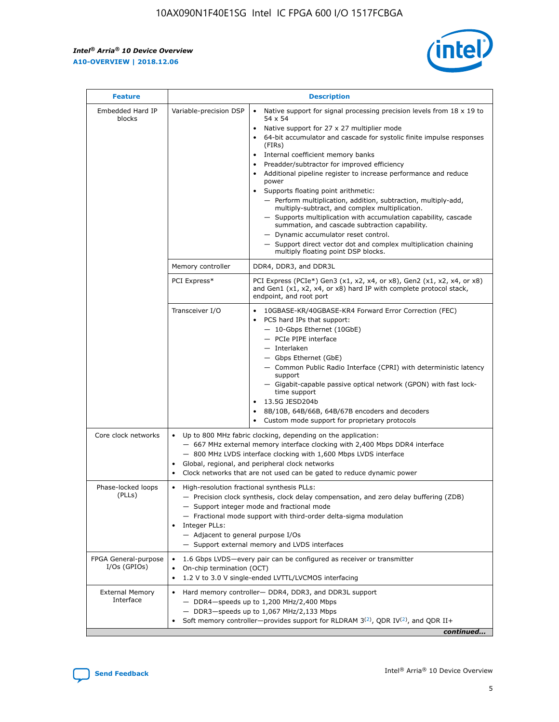r



| <b>Feature</b>                         | <b>Description</b>                                                                                             |                                                                                                                                                                                                                                                                                                                                                                                                                                                                                                                                                                                                                                                                                                                                                                                                                                        |  |  |  |  |  |
|----------------------------------------|----------------------------------------------------------------------------------------------------------------|----------------------------------------------------------------------------------------------------------------------------------------------------------------------------------------------------------------------------------------------------------------------------------------------------------------------------------------------------------------------------------------------------------------------------------------------------------------------------------------------------------------------------------------------------------------------------------------------------------------------------------------------------------------------------------------------------------------------------------------------------------------------------------------------------------------------------------------|--|--|--|--|--|
| Embedded Hard IP<br>blocks             | Variable-precision DSP                                                                                         | Native support for signal processing precision levels from $18 \times 19$ to<br>54 x 54<br>Native support for 27 x 27 multiplier mode<br>64-bit accumulator and cascade for systolic finite impulse responses<br>(FIRs)<br>Internal coefficient memory banks<br>$\bullet$<br>Preadder/subtractor for improved efficiency<br>Additional pipeline register to increase performance and reduce<br>power<br>Supports floating point arithmetic:<br>- Perform multiplication, addition, subtraction, multiply-add,<br>multiply-subtract, and complex multiplication.<br>- Supports multiplication with accumulation capability, cascade<br>summation, and cascade subtraction capability.<br>- Dynamic accumulator reset control.<br>- Support direct vector dot and complex multiplication chaining<br>multiply floating point DSP blocks. |  |  |  |  |  |
|                                        | Memory controller                                                                                              | DDR4, DDR3, and DDR3L                                                                                                                                                                                                                                                                                                                                                                                                                                                                                                                                                                                                                                                                                                                                                                                                                  |  |  |  |  |  |
|                                        | PCI Express*                                                                                                   | PCI Express (PCIe*) Gen3 (x1, x2, x4, or x8), Gen2 (x1, x2, x4, or x8)<br>and Gen1 (x1, x2, x4, or x8) hard IP with complete protocol stack,<br>endpoint, and root port                                                                                                                                                                                                                                                                                                                                                                                                                                                                                                                                                                                                                                                                |  |  |  |  |  |
|                                        | Transceiver I/O                                                                                                | 10GBASE-KR/40GBASE-KR4 Forward Error Correction (FEC)<br>PCS hard IPs that support:<br>$\bullet$<br>- 10-Gbps Ethernet (10GbE)<br>- PCIe PIPE interface<br>$-$ Interlaken<br>- Gbps Ethernet (GbE)<br>- Common Public Radio Interface (CPRI) with deterministic latency<br>support<br>- Gigabit-capable passive optical network (GPON) with fast lock-<br>time support<br>13.5G JESD204b<br>$\bullet$<br>8B/10B, 64B/66B, 64B/67B encoders and decoders<br>Custom mode support for proprietary protocols                                                                                                                                                                                                                                                                                                                               |  |  |  |  |  |
| Core clock networks                    | $\bullet$<br>$\bullet$                                                                                         | Up to 800 MHz fabric clocking, depending on the application:<br>- 667 MHz external memory interface clocking with 2,400 Mbps DDR4 interface<br>- 800 MHz LVDS interface clocking with 1,600 Mbps LVDS interface<br>Global, regional, and peripheral clock networks<br>Clock networks that are not used can be gated to reduce dynamic power                                                                                                                                                                                                                                                                                                                                                                                                                                                                                            |  |  |  |  |  |
| Phase-locked loops<br>(PLLs)           | High-resolution fractional synthesis PLLs:<br>$\bullet$<br>Integer PLLs:<br>- Adjacent to general purpose I/Os | - Precision clock synthesis, clock delay compensation, and zero delay buffering (ZDB)<br>- Support integer mode and fractional mode<br>- Fractional mode support with third-order delta-sigma modulation<br>- Support external memory and LVDS interfaces                                                                                                                                                                                                                                                                                                                                                                                                                                                                                                                                                                              |  |  |  |  |  |
| FPGA General-purpose<br>$I/Os$ (GPIOs) | On-chip termination (OCT)                                                                                      | 1.6 Gbps LVDS-every pair can be configured as receiver or transmitter<br>1.2 V to 3.0 V single-ended LVTTL/LVCMOS interfacing                                                                                                                                                                                                                                                                                                                                                                                                                                                                                                                                                                                                                                                                                                          |  |  |  |  |  |
| <b>External Memory</b><br>Interface    |                                                                                                                | Hard memory controller- DDR4, DDR3, and DDR3L support<br>$-$ DDR4-speeds up to 1,200 MHz/2,400 Mbps<br>- DDR3-speeds up to 1,067 MHz/2,133 Mbps<br>Soft memory controller—provides support for RLDRAM $3^{(2)}$ , QDR IV $^{(2)}$ , and QDR II+<br>continued                                                                                                                                                                                                                                                                                                                                                                                                                                                                                                                                                                           |  |  |  |  |  |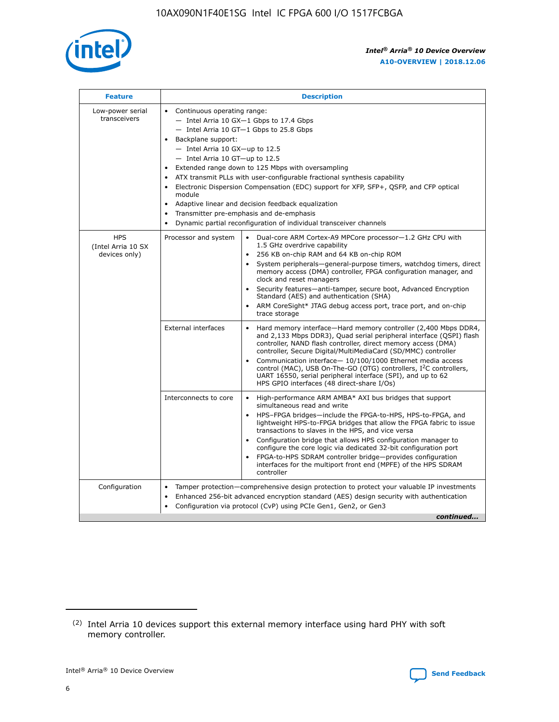

| <b>Feature</b>                                    | <b>Description</b>                                                                                                                                                                                                                                                                                                                                                                                                                                                                                                                                                                                                                             |  |  |  |  |  |  |  |
|---------------------------------------------------|------------------------------------------------------------------------------------------------------------------------------------------------------------------------------------------------------------------------------------------------------------------------------------------------------------------------------------------------------------------------------------------------------------------------------------------------------------------------------------------------------------------------------------------------------------------------------------------------------------------------------------------------|--|--|--|--|--|--|--|
| Low-power serial<br>transceivers                  | • Continuous operating range:<br>- Intel Arria 10 GX-1 Gbps to 17.4 Gbps<br>- Intel Arria 10 GT-1 Gbps to 25.8 Gbps<br>Backplane support:<br>$-$ Intel Arria 10 GX-up to 12.5<br>$-$ Intel Arria 10 GT-up to 12.5<br>Extended range down to 125 Mbps with oversampling<br>ATX transmit PLLs with user-configurable fractional synthesis capability<br>• Electronic Dispersion Compensation (EDC) support for XFP, SFP+, QSFP, and CFP optical<br>module<br>• Adaptive linear and decision feedback equalization<br>Transmitter pre-emphasis and de-emphasis<br>$\bullet$<br>Dynamic partial reconfiguration of individual transceiver channels |  |  |  |  |  |  |  |
| <b>HPS</b><br>(Intel Arria 10 SX<br>devices only) | Processor and system<br>Dual-core ARM Cortex-A9 MPCore processor-1.2 GHz CPU with<br>$\bullet$<br>1.5 GHz overdrive capability<br>256 KB on-chip RAM and 64 KB on-chip ROM<br>$\bullet$<br>System peripherals-general-purpose timers, watchdog timers, direct<br>memory access (DMA) controller, FPGA configuration manager, and<br>clock and reset managers<br>• Security features—anti-tamper, secure boot, Advanced Encryption<br>Standard (AES) and authentication (SHA)<br>ARM CoreSight* JTAG debug access port, trace port, and on-chip<br>trace storage                                                                                |  |  |  |  |  |  |  |
|                                                   | <b>External interfaces</b><br>Hard memory interface—Hard memory controller (2,400 Mbps DDR4,<br>$\bullet$<br>and 2,133 Mbps DDR3), Quad serial peripheral interface (QSPI) flash<br>controller, NAND flash controller, direct memory access (DMA)<br>controller, Secure Digital/MultiMediaCard (SD/MMC) controller<br>Communication interface-10/100/1000 Ethernet media access<br>control (MAC), USB On-The-GO (OTG) controllers, I <sup>2</sup> C controllers,<br>UART 16550, serial peripheral interface (SPI), and up to 62<br>HPS GPIO interfaces (48 direct-share I/Os)                                                                  |  |  |  |  |  |  |  |
|                                                   | High-performance ARM AMBA* AXI bus bridges that support<br>Interconnects to core<br>$\bullet$<br>simultaneous read and write<br>HPS-FPGA bridges—include the FPGA-to-HPS, HPS-to-FPGA, and<br>$\bullet$<br>lightweight HPS-to-FPGA bridges that allow the FPGA fabric to issue<br>transactions to slaves in the HPS, and vice versa<br>Configuration bridge that allows HPS configuration manager to<br>configure the core logic via dedicated 32-bit configuration port<br>FPGA-to-HPS SDRAM controller bridge-provides configuration<br>interfaces for the multiport front end (MPFE) of the HPS SDRAM<br>controller                         |  |  |  |  |  |  |  |
| Configuration                                     | Tamper protection—comprehensive design protection to protect your valuable IP investments<br>Enhanced 256-bit advanced encryption standard (AES) design security with authentication<br>$\bullet$<br>Configuration via protocol (CvP) using PCIe Gen1, Gen2, or Gen3<br>continued                                                                                                                                                                                                                                                                                                                                                              |  |  |  |  |  |  |  |

<sup>(2)</sup> Intel Arria 10 devices support this external memory interface using hard PHY with soft memory controller.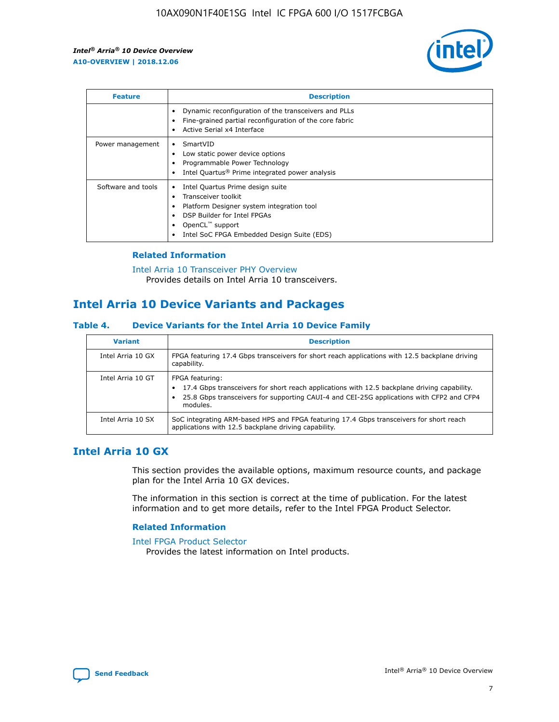

| <b>Feature</b>     | <b>Description</b>                                                                                                                                                                                                            |
|--------------------|-------------------------------------------------------------------------------------------------------------------------------------------------------------------------------------------------------------------------------|
|                    | Dynamic reconfiguration of the transceivers and PLLs<br>Fine-grained partial reconfiguration of the core fabric<br>Active Serial x4 Interface<br>$\bullet$                                                                    |
| Power management   | SmartVID<br>Low static power device options<br>Programmable Power Technology<br>Intel Quartus <sup>®</sup> Prime integrated power analysis                                                                                    |
| Software and tools | Intel Quartus Prime design suite<br>Transceiver toolkit<br>$\bullet$<br>Platform Designer system integration tool<br>DSP Builder for Intel FPGAs<br>OpenCL <sup>™</sup> support<br>Intel SoC FPGA Embedded Design Suite (EDS) |

#### **Related Information**

[Intel Arria 10 Transceiver PHY Overview](https://www.intel.com/content/www/us/en/programmable/documentation/nik1398707230472.html#nik1398706768037) Provides details on Intel Arria 10 transceivers.

## **Intel Arria 10 Device Variants and Packages**

#### **Table 4. Device Variants for the Intel Arria 10 Device Family**

| <b>Variant</b>    | <b>Description</b>                                                                                                                                                                                                     |
|-------------------|------------------------------------------------------------------------------------------------------------------------------------------------------------------------------------------------------------------------|
| Intel Arria 10 GX | FPGA featuring 17.4 Gbps transceivers for short reach applications with 12.5 backplane driving<br>capability.                                                                                                          |
| Intel Arria 10 GT | FPGA featuring:<br>17.4 Gbps transceivers for short reach applications with 12.5 backplane driving capability.<br>25.8 Gbps transceivers for supporting CAUI-4 and CEI-25G applications with CFP2 and CFP4<br>modules. |
| Intel Arria 10 SX | SoC integrating ARM-based HPS and FPGA featuring 17.4 Gbps transceivers for short reach<br>applications with 12.5 backplane driving capability.                                                                        |

#### **Intel Arria 10 GX**

This section provides the available options, maximum resource counts, and package plan for the Intel Arria 10 GX devices.

The information in this section is correct at the time of publication. For the latest information and to get more details, refer to the Intel FPGA Product Selector.

#### **Related Information**

#### [Intel FPGA Product Selector](http://www.altera.com/products/selector/psg-selector.html) Provides the latest information on Intel products.

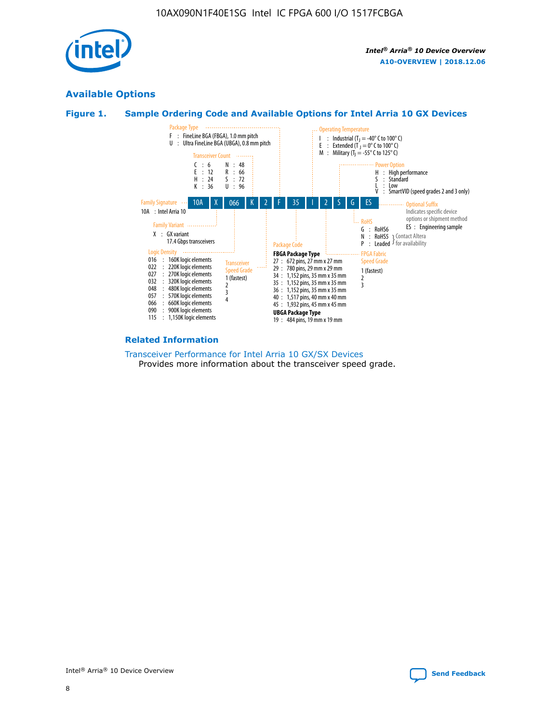

#### **Available Options**





#### **Related Information**

[Transceiver Performance for Intel Arria 10 GX/SX Devices](https://www.intel.com/content/www/us/en/programmable/documentation/mcn1413182292568.html#mcn1413213965502) Provides more information about the transceiver speed grade.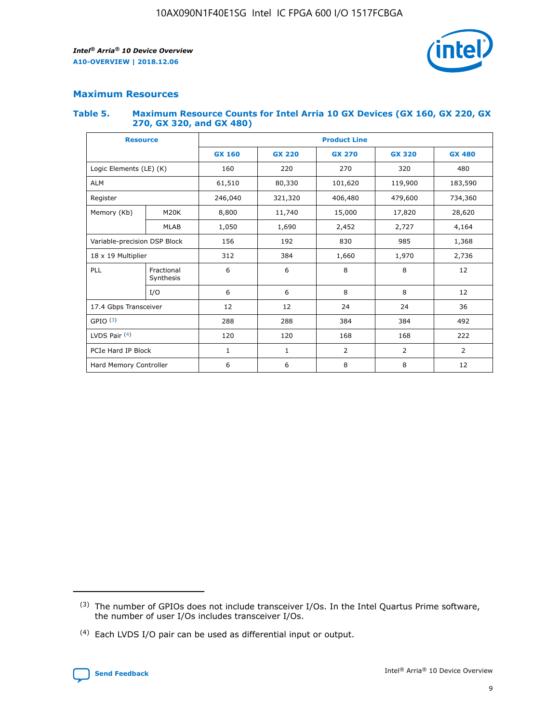

#### **Maximum Resources**

#### **Table 5. Maximum Resource Counts for Intel Arria 10 GX Devices (GX 160, GX 220, GX 270, GX 320, and GX 480)**

| <b>Resource</b>              |                         | <b>Product Line</b> |                                                 |                |                |                |  |  |  |
|------------------------------|-------------------------|---------------------|-------------------------------------------------|----------------|----------------|----------------|--|--|--|
|                              |                         | <b>GX 160</b>       | <b>GX 220</b><br><b>GX 270</b><br><b>GX 320</b> |                |                | <b>GX 480</b>  |  |  |  |
| Logic Elements (LE) (K)      |                         | 160                 | 220                                             | 270            | 320            | 480            |  |  |  |
| <b>ALM</b>                   |                         | 61,510              | 80,330                                          | 101,620        | 119,900        | 183,590        |  |  |  |
| Register                     |                         | 246,040             | 406,480<br>321,320                              |                | 479,600        | 734,360        |  |  |  |
| Memory (Kb)                  | M <sub>20</sub> K       | 8,800               | 11,740                                          | 15,000         | 17,820         | 28,620         |  |  |  |
|                              | <b>MLAB</b>             | 1,050               | 1,690                                           | 2,452          | 2,727          | 4,164          |  |  |  |
| Variable-precision DSP Block |                         | 156                 | 192                                             | 830            | 985            | 1,368          |  |  |  |
| 18 x 19 Multiplier           |                         | 312                 | 384                                             | 1,970<br>1,660 |                | 2,736          |  |  |  |
| PLL                          | Fractional<br>Synthesis | 6                   | 6                                               | 8              | 8              | 12             |  |  |  |
|                              | I/O                     | 6                   | 6                                               | 8              | 8              | 12             |  |  |  |
| 17.4 Gbps Transceiver        |                         | 12                  | 12                                              | 24             | 24             | 36             |  |  |  |
| GPIO <sup>(3)</sup>          |                         | 288                 | 288                                             | 384            | 384            |                |  |  |  |
| LVDS Pair $(4)$              |                         | 120                 | 120                                             | 168            | 168            | 222            |  |  |  |
| PCIe Hard IP Block           |                         | 1                   | 1                                               | 2              | $\overline{2}$ | $\overline{2}$ |  |  |  |
| Hard Memory Controller       |                         | 6                   | 6                                               | 8<br>8         |                | 12             |  |  |  |

<sup>(4)</sup> Each LVDS I/O pair can be used as differential input or output.



<sup>(3)</sup> The number of GPIOs does not include transceiver I/Os. In the Intel Quartus Prime software, the number of user I/Os includes transceiver I/Os.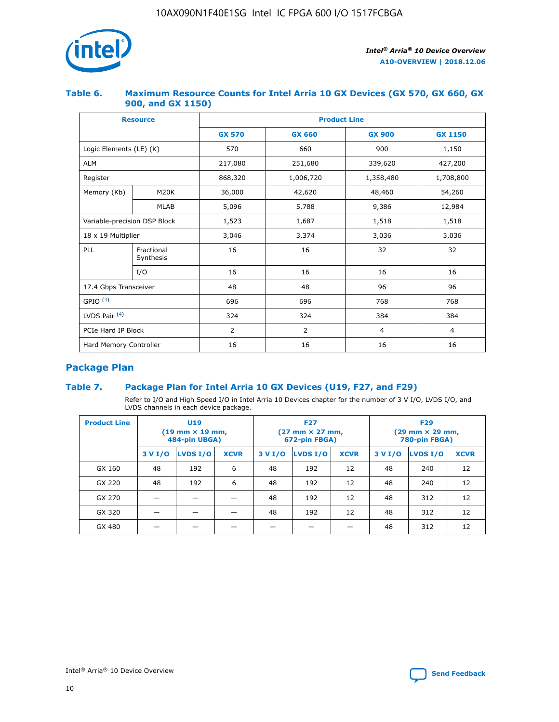

#### **Table 6. Maximum Resource Counts for Intel Arria 10 GX Devices (GX 570, GX 660, GX 900, and GX 1150)**

|                              | <b>Resource</b>         | <b>Product Line</b> |                |                |                |  |  |  |
|------------------------------|-------------------------|---------------------|----------------|----------------|----------------|--|--|--|
|                              |                         | <b>GX 570</b>       | <b>GX 660</b>  | <b>GX 900</b>  | <b>GX 1150</b> |  |  |  |
| Logic Elements (LE) (K)      |                         | 570                 | 660            | 900            | 1,150          |  |  |  |
| <b>ALM</b>                   |                         | 217,080             | 251,680        | 339,620        | 427,200        |  |  |  |
| Register                     |                         | 868,320             | 1,006,720      | 1,358,480      | 1,708,800      |  |  |  |
| Memory (Kb)                  | <b>M20K</b>             | 36,000              | 42,620         | 48,460         | 54,260         |  |  |  |
|                              | <b>MLAB</b>             | 5,096               | 5,788          | 9,386          | 12,984         |  |  |  |
| Variable-precision DSP Block |                         | 1,523               | 1,687          | 1,518          | 1,518          |  |  |  |
| 18 x 19 Multiplier           |                         | 3,046               | 3,374          | 3,036          | 3,036          |  |  |  |
| PLL                          | Fractional<br>Synthesis | 16                  | 16             | 32             | 32             |  |  |  |
|                              | I/O                     | 16                  | 16             | 16             | 16             |  |  |  |
| 17.4 Gbps Transceiver        |                         | 48                  | 48<br>96       |                | 96             |  |  |  |
| GPIO <sup>(3)</sup>          |                         | 696                 | 696            | 768            | 768            |  |  |  |
| LVDS Pair $(4)$              |                         | 324                 | 324            | 384            | 384            |  |  |  |
| PCIe Hard IP Block           |                         | 2                   | $\overline{2}$ | $\overline{4}$ | $\overline{4}$ |  |  |  |
| Hard Memory Controller       |                         | 16                  | 16             | 16             | 16             |  |  |  |

#### **Package Plan**

#### **Table 7. Package Plan for Intel Arria 10 GX Devices (U19, F27, and F29)**

Refer to I/O and High Speed I/O in Intel Arria 10 Devices chapter for the number of 3 V I/O, LVDS I/O, and LVDS channels in each device package.

| <b>Product Line</b> | U <sub>19</sub><br>$(19 \text{ mm} \times 19 \text{ mm})$<br>484-pin UBGA) |          |             |         | <b>F27</b><br>(27 mm × 27 mm,<br>672-pin FBGA) |             | <b>F29</b><br>(29 mm × 29 mm,<br>780-pin FBGA) |          |             |  |
|---------------------|----------------------------------------------------------------------------|----------|-------------|---------|------------------------------------------------|-------------|------------------------------------------------|----------|-------------|--|
|                     | 3 V I/O                                                                    | LVDS I/O | <b>XCVR</b> | 3 V I/O | LVDS I/O                                       | <b>XCVR</b> | 3 V I/O                                        | LVDS I/O | <b>XCVR</b> |  |
| GX 160              | 48                                                                         | 192      | 6           | 48      | 192                                            | 12          | 48                                             | 240      | 12          |  |
| GX 220              | 48                                                                         | 192      | 6           | 48      | 192                                            | 12          | 48                                             | 240      | 12          |  |
| GX 270              |                                                                            |          |             | 48      | 192                                            | 12          | 48                                             | 312      | 12          |  |
| GX 320              |                                                                            |          |             | 48      | 192                                            | 12          | 48                                             | 312      | 12          |  |
| GX 480              |                                                                            |          |             |         |                                                |             | 48                                             | 312      | 12          |  |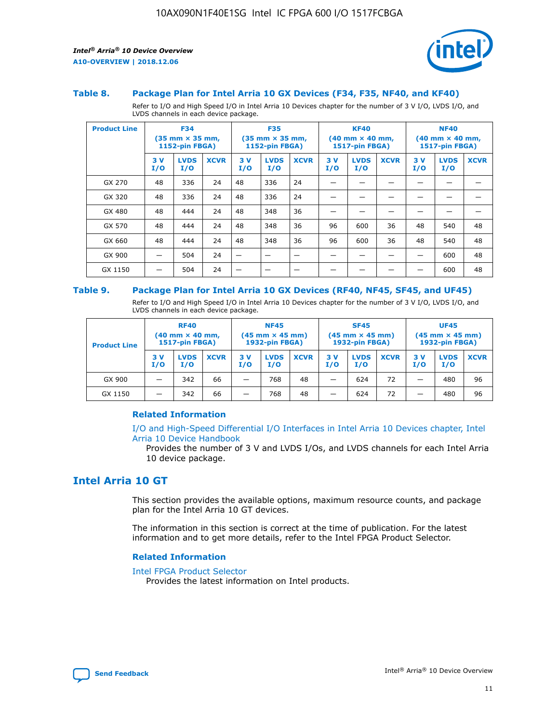



#### **Table 8. Package Plan for Intel Arria 10 GX Devices (F34, F35, NF40, and KF40)**

Refer to I/O and High Speed I/O in Intel Arria 10 Devices chapter for the number of 3 V I/O, LVDS I/O, and LVDS channels in each device package.

| <b>Product Line</b> | <b>F34</b><br>(35 mm × 35 mm,<br><b>1152-pin FBGA)</b> |                    | <b>F35</b><br>$(35$ mm $\times$ 35 mm,<br><b>1152-pin FBGA)</b> |           | <b>KF40</b><br>$(40 \text{ mm} \times 40 \text{ mm})$<br>1517-pin FBGA) |             |           | <b>NF40</b><br>$(40 \text{ mm} \times 40 \text{ mm})$<br><b>1517-pin FBGA)</b> |             |           |                    |             |
|---------------------|--------------------------------------------------------|--------------------|-----------------------------------------------------------------|-----------|-------------------------------------------------------------------------|-------------|-----------|--------------------------------------------------------------------------------|-------------|-----------|--------------------|-------------|
|                     | 3V<br>I/O                                              | <b>LVDS</b><br>I/O | <b>XCVR</b>                                                     | 3V<br>I/O | <b>LVDS</b><br>I/O                                                      | <b>XCVR</b> | 3V<br>I/O | <b>LVDS</b><br>I/O                                                             | <b>XCVR</b> | 3V<br>I/O | <b>LVDS</b><br>I/O | <b>XCVR</b> |
| GX 270              | 48                                                     | 336                | 24                                                              | 48        | 336                                                                     | 24          |           |                                                                                |             |           |                    |             |
| GX 320              | 48                                                     | 336                | 24                                                              | 48        | 336                                                                     | 24          |           |                                                                                |             |           |                    |             |
| GX 480              | 48                                                     | 444                | 24                                                              | 48        | 348                                                                     | 36          |           |                                                                                |             |           |                    |             |
| GX 570              | 48                                                     | 444                | 24                                                              | 48        | 348                                                                     | 36          | 96        | 600                                                                            | 36          | 48        | 540                | 48          |
| GX 660              | 48                                                     | 444                | 24                                                              | 48        | 348                                                                     | 36          | 96        | 600                                                                            | 36          | 48        | 540                | 48          |
| GX 900              |                                                        | 504                | 24                                                              | -         |                                                                         | -           |           |                                                                                |             |           | 600                | 48          |
| GX 1150             |                                                        | 504                | 24                                                              |           |                                                                         |             |           |                                                                                |             |           | 600                | 48          |

#### **Table 9. Package Plan for Intel Arria 10 GX Devices (RF40, NF45, SF45, and UF45)**

Refer to I/O and High Speed I/O in Intel Arria 10 Devices chapter for the number of 3 V I/O, LVDS I/O, and LVDS channels in each device package.

| <b>Product Line</b> | <b>RF40</b><br>$(40$ mm $\times$ 40 mm,<br>1517-pin FBGA) |                    | <b>NF45</b><br>$(45 \text{ mm} \times 45 \text{ mm})$<br><b>1932-pin FBGA)</b> |            |                    | <b>SF45</b><br>$(45 \text{ mm} \times 45 \text{ mm})$<br><b>1932-pin FBGA)</b> |            |                    | <b>UF45</b><br>$(45 \text{ mm} \times 45 \text{ mm})$<br><b>1932-pin FBGA)</b> |           |                    |             |
|---------------------|-----------------------------------------------------------|--------------------|--------------------------------------------------------------------------------|------------|--------------------|--------------------------------------------------------------------------------|------------|--------------------|--------------------------------------------------------------------------------|-----------|--------------------|-------------|
|                     | 3V<br>I/O                                                 | <b>LVDS</b><br>I/O | <b>XCVR</b>                                                                    | 3 V<br>I/O | <b>LVDS</b><br>I/O | <b>XCVR</b>                                                                    | 3 V<br>I/O | <b>LVDS</b><br>I/O | <b>XCVR</b>                                                                    | 3V<br>I/O | <b>LVDS</b><br>I/O | <b>XCVR</b> |
| GX 900              |                                                           | 342                | 66                                                                             | _          | 768                | 48                                                                             |            | 624                | 72                                                                             |           | 480                | 96          |
| GX 1150             |                                                           | 342                | 66                                                                             | _          | 768                | 48                                                                             |            | 624                | 72                                                                             |           | 480                | 96          |

#### **Related Information**

[I/O and High-Speed Differential I/O Interfaces in Intel Arria 10 Devices chapter, Intel](https://www.intel.com/content/www/us/en/programmable/documentation/sam1403482614086.html#sam1403482030321) [Arria 10 Device Handbook](https://www.intel.com/content/www/us/en/programmable/documentation/sam1403482614086.html#sam1403482030321)

Provides the number of 3 V and LVDS I/Os, and LVDS channels for each Intel Arria 10 device package.

#### **Intel Arria 10 GT**

This section provides the available options, maximum resource counts, and package plan for the Intel Arria 10 GT devices.

The information in this section is correct at the time of publication. For the latest information and to get more details, refer to the Intel FPGA Product Selector.

#### **Related Information**

#### [Intel FPGA Product Selector](http://www.altera.com/products/selector/psg-selector.html)

Provides the latest information on Intel products.

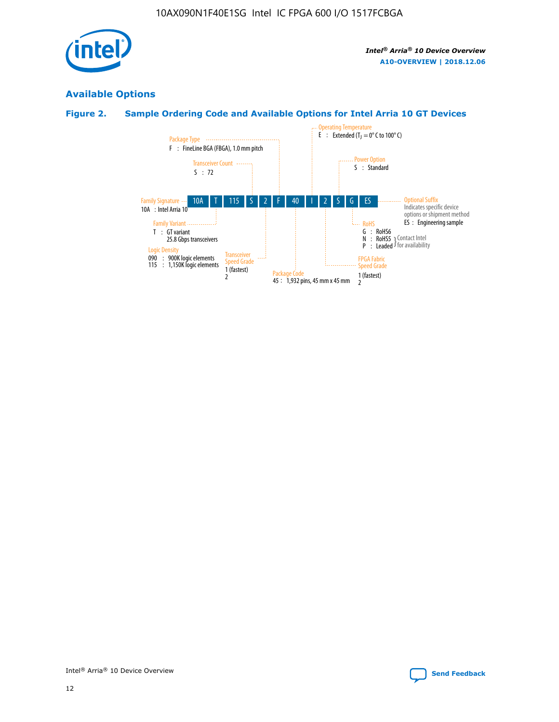

#### **Available Options**

#### **Figure 2. Sample Ordering Code and Available Options for Intel Arria 10 GT Devices**

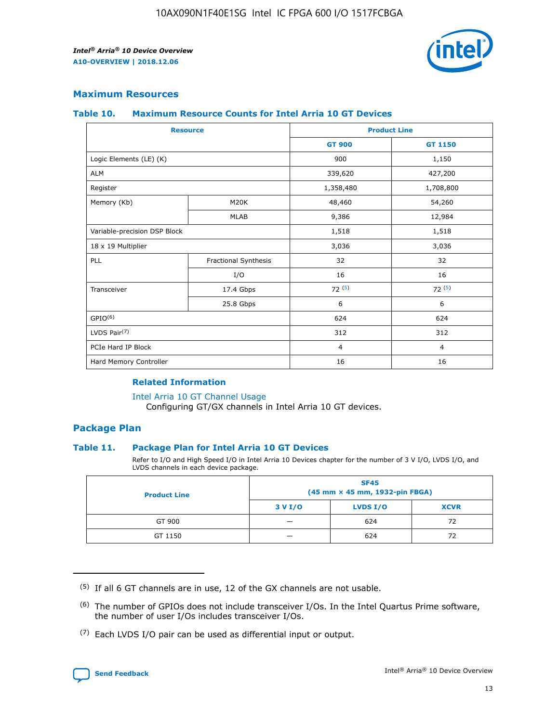

#### **Maximum Resources**

#### **Table 10. Maximum Resource Counts for Intel Arria 10 GT Devices**

|                              | <b>Resource</b>      | <b>Product Line</b> |                |  |
|------------------------------|----------------------|---------------------|----------------|--|
|                              |                      | <b>GT 900</b>       | GT 1150        |  |
| Logic Elements (LE) (K)      |                      | 900                 | 1,150          |  |
| <b>ALM</b>                   |                      | 339,620             | 427,200        |  |
| Register                     |                      | 1,358,480           | 1,708,800      |  |
| Memory (Kb)                  | M20K                 | 48,460              | 54,260         |  |
|                              | <b>MLAB</b>          | 9,386               | 12,984         |  |
| Variable-precision DSP Block |                      | 1,518               | 1,518          |  |
| 18 x 19 Multiplier           |                      | 3,036               | 3,036          |  |
| PLL                          | Fractional Synthesis | 32                  | 32             |  |
|                              | I/O                  | 16                  | 16             |  |
| Transceiver                  | 17.4 Gbps            | 72(5)               | 72(5)          |  |
|                              | 25.8 Gbps            | 6                   | 6              |  |
| GPIO <sup>(6)</sup>          |                      | 624                 | 624            |  |
| LVDS Pair $(7)$              |                      | 312                 | 312            |  |
| PCIe Hard IP Block           |                      | $\overline{4}$      | $\overline{4}$ |  |
| Hard Memory Controller       |                      | 16                  | 16             |  |

#### **Related Information**

#### [Intel Arria 10 GT Channel Usage](https://www.intel.com/content/www/us/en/programmable/documentation/nik1398707230472.html#nik1398707008178)

Configuring GT/GX channels in Intel Arria 10 GT devices.

#### **Package Plan**

#### **Table 11. Package Plan for Intel Arria 10 GT Devices**

Refer to I/O and High Speed I/O in Intel Arria 10 Devices chapter for the number of 3 V I/O, LVDS I/O, and LVDS channels in each device package.

| <b>Product Line</b> | <b>SF45</b><br>(45 mm × 45 mm, 1932-pin FBGA) |                 |             |  |  |  |
|---------------------|-----------------------------------------------|-----------------|-------------|--|--|--|
|                     | 3 V I/O                                       | <b>LVDS I/O</b> | <b>XCVR</b> |  |  |  |
| GT 900              |                                               | 624             | 72          |  |  |  |
| GT 1150             |                                               | 624             | 72          |  |  |  |

<sup>(7)</sup> Each LVDS I/O pair can be used as differential input or output.



 $(5)$  If all 6 GT channels are in use, 12 of the GX channels are not usable.

<sup>(6)</sup> The number of GPIOs does not include transceiver I/Os. In the Intel Quartus Prime software, the number of user I/Os includes transceiver I/Os.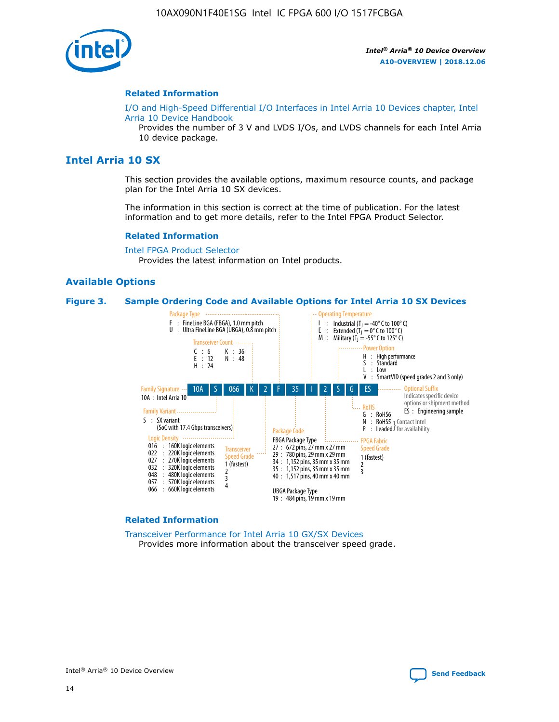

#### **Related Information**

[I/O and High-Speed Differential I/O Interfaces in Intel Arria 10 Devices chapter, Intel](https://www.intel.com/content/www/us/en/programmable/documentation/sam1403482614086.html#sam1403482030321) [Arria 10 Device Handbook](https://www.intel.com/content/www/us/en/programmable/documentation/sam1403482614086.html#sam1403482030321)

Provides the number of 3 V and LVDS I/Os, and LVDS channels for each Intel Arria 10 device package.

#### **Intel Arria 10 SX**

This section provides the available options, maximum resource counts, and package plan for the Intel Arria 10 SX devices.

The information in this section is correct at the time of publication. For the latest information and to get more details, refer to the Intel FPGA Product Selector.

#### **Related Information**

[Intel FPGA Product Selector](http://www.altera.com/products/selector/psg-selector.html) Provides the latest information on Intel products.

#### **Available Options**

#### **Figure 3. Sample Ordering Code and Available Options for Intel Arria 10 SX Devices**



#### **Related Information**

[Transceiver Performance for Intel Arria 10 GX/SX Devices](https://www.intel.com/content/www/us/en/programmable/documentation/mcn1413182292568.html#mcn1413213965502) Provides more information about the transceiver speed grade.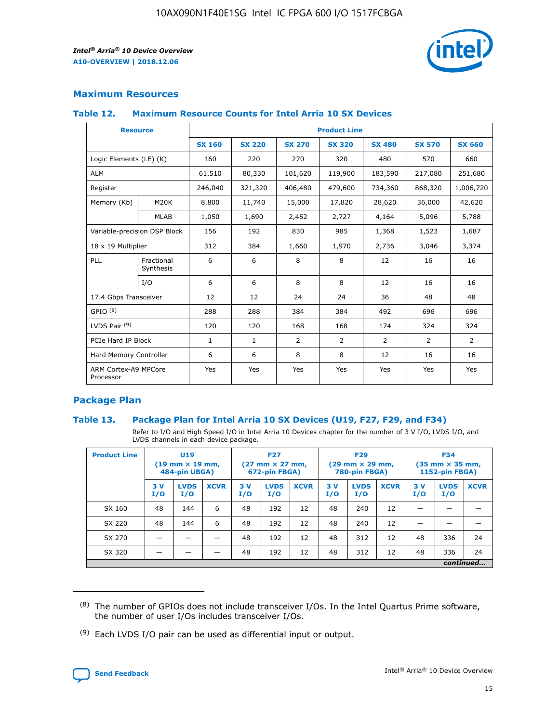

#### **Maximum Resources**

#### **Table 12. Maximum Resource Counts for Intel Arria 10 SX Devices**

| <b>Resource</b>                   |                         | <b>Product Line</b> |               |               |                |               |               |               |  |  |
|-----------------------------------|-------------------------|---------------------|---------------|---------------|----------------|---------------|---------------|---------------|--|--|
|                                   |                         | <b>SX 160</b>       | <b>SX 220</b> | <b>SX 270</b> | <b>SX 320</b>  | <b>SX 480</b> | <b>SX 570</b> | <b>SX 660</b> |  |  |
| Logic Elements (LE) (K)           |                         | 160                 | 220           | 270           | 320            | 480           | 570           | 660           |  |  |
| <b>ALM</b>                        |                         | 61,510              | 80,330        | 101,620       | 119,900        | 183,590       | 217,080       | 251,680       |  |  |
| Register                          |                         | 246,040             | 321,320       | 406,480       | 479,600        | 734,360       | 868,320       | 1,006,720     |  |  |
| Memory (Kb)                       | M20K                    | 8,800               | 11,740        | 15,000        | 17,820         | 28,620        | 36,000        | 42,620        |  |  |
|                                   | <b>MLAB</b>             | 1,050               | 1,690         | 2,452         | 2,727          | 4,164         | 5,096         | 5,788         |  |  |
| Variable-precision DSP Block      |                         | 156                 | 192           | 830           | 985            | 1,368         | 1,523         | 1,687         |  |  |
| 18 x 19 Multiplier                |                         | 312                 | 384           | 1,660         | 1,970          | 2,736         | 3,046         | 3,374         |  |  |
| PLL                               | Fractional<br>Synthesis | 6                   | 6             | 8             | 8              | 12            | 16            | 16            |  |  |
|                                   | I/O                     | 6                   | 6             | 8             | 8              | 12            | 16            | 16            |  |  |
| 17.4 Gbps Transceiver             |                         | 12                  | 12            | 24            | 24             | 36            | 48            | 48            |  |  |
| GPIO <sup>(8)</sup>               |                         | 288                 | 288           | 384           | 384            | 492           | 696           | 696           |  |  |
| LVDS Pair $(9)$                   |                         | 120                 | 120           | 168           | 168            | 174           | 324           | 324           |  |  |
|                                   | PCIe Hard IP Block      |                     | $\mathbf{1}$  | 2             | $\overline{2}$ | 2             | 2             | 2             |  |  |
| Hard Memory Controller            |                         | 6                   | 6             | 8             | 8              | 12            | 16            | 16            |  |  |
| ARM Cortex-A9 MPCore<br>Processor |                         | Yes                 | Yes           | Yes           | Yes            | Yes           | Yes           | Yes           |  |  |

#### **Package Plan**

#### **Table 13. Package Plan for Intel Arria 10 SX Devices (U19, F27, F29, and F34)**

Refer to I/O and High Speed I/O in Intel Arria 10 Devices chapter for the number of 3 V I/O, LVDS I/O, and LVDS channels in each device package.

| <b>Product Line</b> | U <sub>19</sub><br>$(19 \text{ mm} \times 19 \text{ mm})$<br>484-pin UBGA) |                    | <b>F27</b><br>$(27 \text{ mm} \times 27 \text{ mm})$<br>672-pin FBGA) |           | <b>F29</b><br>$(29 \text{ mm} \times 29 \text{ mm})$<br>780-pin FBGA) |             |            | <b>F34</b><br>$(35 \text{ mm} \times 35 \text{ mm})$<br><b>1152-pin FBGA)</b> |             |           |                    |             |
|---------------------|----------------------------------------------------------------------------|--------------------|-----------------------------------------------------------------------|-----------|-----------------------------------------------------------------------|-------------|------------|-------------------------------------------------------------------------------|-------------|-----------|--------------------|-------------|
|                     | 3V<br>I/O                                                                  | <b>LVDS</b><br>I/O | <b>XCVR</b>                                                           | 3V<br>I/O | <b>LVDS</b><br>I/O                                                    | <b>XCVR</b> | 3 V<br>I/O | <b>LVDS</b><br>I/O                                                            | <b>XCVR</b> | 3V<br>I/O | <b>LVDS</b><br>I/O | <b>XCVR</b> |
| SX 160              | 48                                                                         | 144                | 6                                                                     | 48        | 192                                                                   | 12          | 48         | 240                                                                           | 12          | –         |                    |             |
| SX 220              | 48                                                                         | 144                | 6                                                                     | 48        | 192                                                                   | 12          | 48         | 240                                                                           | 12          |           |                    |             |
| SX 270              |                                                                            |                    |                                                                       | 48        | 192                                                                   | 12          | 48         | 312                                                                           | 12          | 48        | 336                | 24          |
| SX 320              |                                                                            |                    |                                                                       | 48        | 192                                                                   | 12          | 48         | 312                                                                           | 12          | 48        | 336                | 24          |
|                     | continued                                                                  |                    |                                                                       |           |                                                                       |             |            |                                                                               |             |           |                    |             |

 $(8)$  The number of GPIOs does not include transceiver I/Os. In the Intel Quartus Prime software, the number of user I/Os includes transceiver I/Os.

 $(9)$  Each LVDS I/O pair can be used as differential input or output.

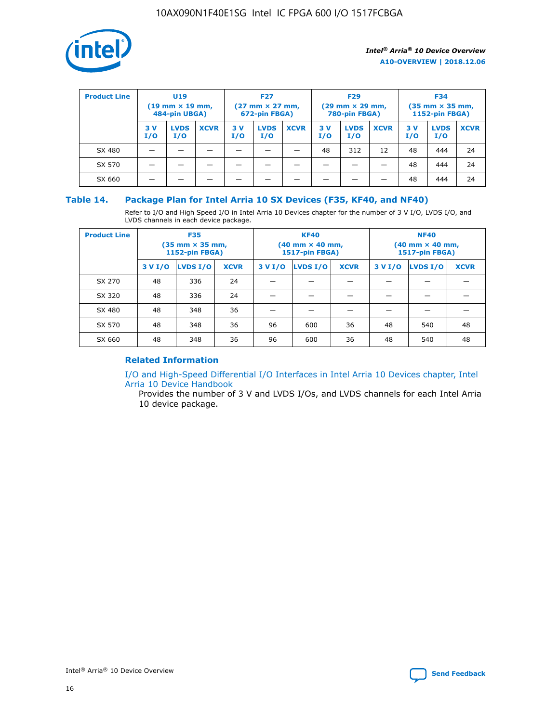

| <b>Product Line</b> | <b>U19</b><br>$(19 \text{ mm} \times 19 \text{ mm})$<br>484-pin UBGA) |                    | <b>F27</b><br>$(27 \text{ mm} \times 27 \text{ mm})$<br>672-pin FBGA) |            | <b>F29</b><br>$(29$ mm $\times$ 29 mm,<br>780-pin FBGA) |             |           | <b>F34</b><br>$(35$ mm $\times$ 35 mm,<br><b>1152-pin FBGA)</b> |             |            |                    |             |
|---------------------|-----------------------------------------------------------------------|--------------------|-----------------------------------------------------------------------|------------|---------------------------------------------------------|-------------|-----------|-----------------------------------------------------------------|-------------|------------|--------------------|-------------|
|                     | 3 V<br>I/O                                                            | <b>LVDS</b><br>I/O | <b>XCVR</b>                                                           | 3 V<br>I/O | <b>LVDS</b><br>I/O                                      | <b>XCVR</b> | 3V<br>I/O | <b>LVDS</b><br>I/O                                              | <b>XCVR</b> | 3 V<br>I/O | <b>LVDS</b><br>I/O | <b>XCVR</b> |
| SX 480              |                                                                       |                    |                                                                       |            |                                                         |             | 48        | 312                                                             | 12          | 48         | 444                | 24          |
| SX 570              |                                                                       |                    |                                                                       |            |                                                         |             |           |                                                                 |             | 48         | 444                | 24          |
| SX 660              |                                                                       |                    |                                                                       |            |                                                         |             |           |                                                                 |             | 48         | 444                | 24          |

#### **Table 14. Package Plan for Intel Arria 10 SX Devices (F35, KF40, and NF40)**

Refer to I/O and High Speed I/O in Intel Arria 10 Devices chapter for the number of 3 V I/O, LVDS I/O, and LVDS channels in each device package.

| <b>Product Line</b> | <b>F35</b><br>(35 mm × 35 mm,<br><b>1152-pin FBGA)</b> |          |             |                                           | <b>KF40</b><br>(40 mm × 40 mm,<br>1517-pin FBGA) |    | <b>NF40</b><br>$(40 \text{ mm} \times 40 \text{ mm})$<br>1517-pin FBGA) |          |             |  |
|---------------------|--------------------------------------------------------|----------|-------------|-------------------------------------------|--------------------------------------------------|----|-------------------------------------------------------------------------|----------|-------------|--|
|                     | 3 V I/O                                                | LVDS I/O | <b>XCVR</b> | <b>LVDS I/O</b><br>3 V I/O<br><b>XCVR</b> |                                                  |    | 3 V I/O                                                                 | LVDS I/O | <b>XCVR</b> |  |
| SX 270              | 48                                                     | 336      | 24          |                                           |                                                  |    |                                                                         |          |             |  |
| SX 320              | 48                                                     | 336      | 24          |                                           |                                                  |    |                                                                         |          |             |  |
| SX 480              | 48                                                     | 348      | 36          |                                           |                                                  |    |                                                                         |          |             |  |
| SX 570              | 48                                                     | 348      | 36          | 96                                        | 600                                              | 36 | 48                                                                      | 540      | 48          |  |
| SX 660              | 48                                                     | 348      | 36          | 96                                        | 600                                              | 36 | 48                                                                      | 540      | 48          |  |

#### **Related Information**

[I/O and High-Speed Differential I/O Interfaces in Intel Arria 10 Devices chapter, Intel](https://www.intel.com/content/www/us/en/programmable/documentation/sam1403482614086.html#sam1403482030321) [Arria 10 Device Handbook](https://www.intel.com/content/www/us/en/programmable/documentation/sam1403482614086.html#sam1403482030321)

Provides the number of 3 V and LVDS I/Os, and LVDS channels for each Intel Arria 10 device package.

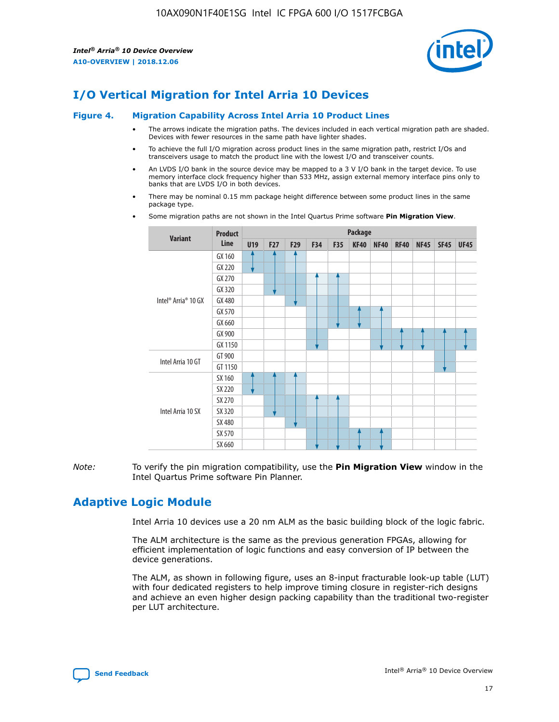

## **I/O Vertical Migration for Intel Arria 10 Devices**

#### **Figure 4. Migration Capability Across Intel Arria 10 Product Lines**

- The arrows indicate the migration paths. The devices included in each vertical migration path are shaded. Devices with fewer resources in the same path have lighter shades.
- To achieve the full I/O migration across product lines in the same migration path, restrict I/Os and transceivers usage to match the product line with the lowest I/O and transceiver counts.
- An LVDS I/O bank in the source device may be mapped to a 3 V I/O bank in the target device. To use memory interface clock frequency higher than 533 MHz, assign external memory interface pins only to banks that are LVDS I/O in both devices.
- There may be nominal 0.15 mm package height difference between some product lines in the same package type.
	- **Variant Product Line Package U19 F27 F29 F34 F35 KF40 NF40 RF40 NF45 SF45 UF45** Intel® Arria® 10 GX GX 160 GX 220 GX 270 GX 320 GX 480 GX 570 GX 660 GX 900 GX 1150 Intel Arria 10 GT GT 900 GT 1150 Intel Arria 10 SX SX 160 SX 220 SX 270 SX 320 SX 480 SX 570 SX 660
- Some migration paths are not shown in the Intel Quartus Prime software **Pin Migration View**.

*Note:* To verify the pin migration compatibility, use the **Pin Migration View** window in the Intel Quartus Prime software Pin Planner.

## **Adaptive Logic Module**

Intel Arria 10 devices use a 20 nm ALM as the basic building block of the logic fabric.

The ALM architecture is the same as the previous generation FPGAs, allowing for efficient implementation of logic functions and easy conversion of IP between the device generations.

The ALM, as shown in following figure, uses an 8-input fracturable look-up table (LUT) with four dedicated registers to help improve timing closure in register-rich designs and achieve an even higher design packing capability than the traditional two-register per LUT architecture.

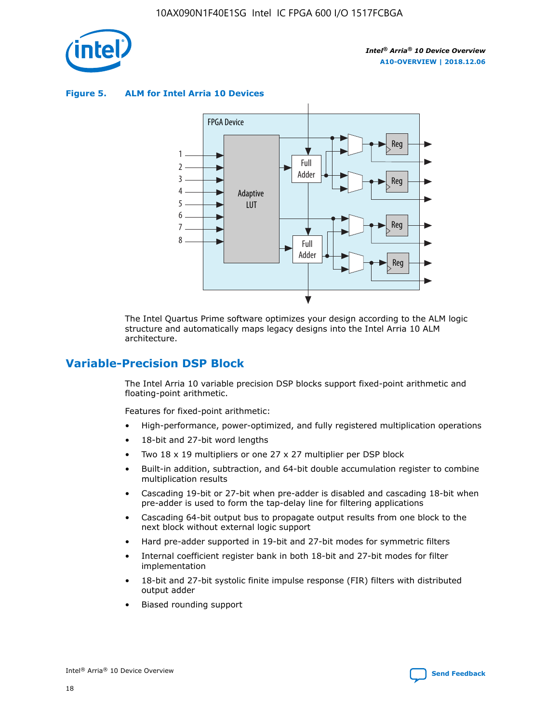

**Figure 5. ALM for Intel Arria 10 Devices**



The Intel Quartus Prime software optimizes your design according to the ALM logic structure and automatically maps legacy designs into the Intel Arria 10 ALM architecture.

## **Variable-Precision DSP Block**

The Intel Arria 10 variable precision DSP blocks support fixed-point arithmetic and floating-point arithmetic.

Features for fixed-point arithmetic:

- High-performance, power-optimized, and fully registered multiplication operations
- 18-bit and 27-bit word lengths
- Two 18 x 19 multipliers or one 27 x 27 multiplier per DSP block
- Built-in addition, subtraction, and 64-bit double accumulation register to combine multiplication results
- Cascading 19-bit or 27-bit when pre-adder is disabled and cascading 18-bit when pre-adder is used to form the tap-delay line for filtering applications
- Cascading 64-bit output bus to propagate output results from one block to the next block without external logic support
- Hard pre-adder supported in 19-bit and 27-bit modes for symmetric filters
- Internal coefficient register bank in both 18-bit and 27-bit modes for filter implementation
- 18-bit and 27-bit systolic finite impulse response (FIR) filters with distributed output adder
- Biased rounding support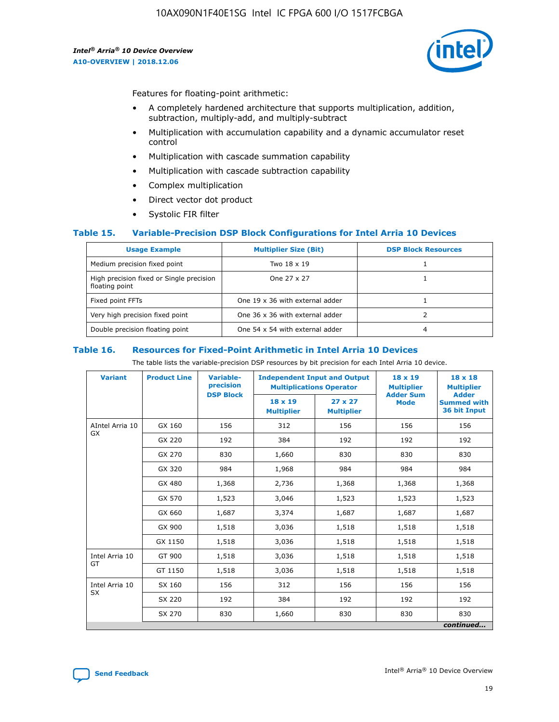

Features for floating-point arithmetic:

- A completely hardened architecture that supports multiplication, addition, subtraction, multiply-add, and multiply-subtract
- Multiplication with accumulation capability and a dynamic accumulator reset control
- Multiplication with cascade summation capability
- Multiplication with cascade subtraction capability
- Complex multiplication
- Direct vector dot product
- Systolic FIR filter

#### **Table 15. Variable-Precision DSP Block Configurations for Intel Arria 10 Devices**

| <b>Usage Example</b>                                       | <b>Multiplier Size (Bit)</b>    | <b>DSP Block Resources</b> |
|------------------------------------------------------------|---------------------------------|----------------------------|
| Medium precision fixed point                               | Two 18 x 19                     |                            |
| High precision fixed or Single precision<br>floating point | One 27 x 27                     |                            |
| Fixed point FFTs                                           | One 19 x 36 with external adder |                            |
| Very high precision fixed point                            | One 36 x 36 with external adder |                            |
| Double precision floating point                            | One 54 x 54 with external adder | 4                          |

#### **Table 16. Resources for Fixed-Point Arithmetic in Intel Arria 10 Devices**

The table lists the variable-precision DSP resources by bit precision for each Intel Arria 10 device.

| <b>Variant</b>  | <b>Product Line</b> | <b>Variable-</b><br>precision<br><b>DSP Block</b> | <b>Independent Input and Output</b><br><b>Multiplications Operator</b> |                                     | 18 x 19<br><b>Multiplier</b><br><b>Adder Sum</b> | $18 \times 18$<br><b>Multiplier</b><br><b>Adder</b> |
|-----------------|---------------------|---------------------------------------------------|------------------------------------------------------------------------|-------------------------------------|--------------------------------------------------|-----------------------------------------------------|
|                 |                     |                                                   | 18 x 19<br><b>Multiplier</b>                                           | $27 \times 27$<br><b>Multiplier</b> | <b>Mode</b>                                      | <b>Summed with</b><br>36 bit Input                  |
| AIntel Arria 10 | GX 160              | 156                                               | 312                                                                    | 156                                 | 156                                              | 156                                                 |
| GX              | GX 220              | 192                                               | 384                                                                    | 192                                 | 192                                              | 192                                                 |
|                 | GX 270              | 830                                               | 1,660                                                                  | 830                                 | 830                                              | 830                                                 |
|                 | GX 320              | 984                                               | 1,968                                                                  | 984                                 | 984                                              | 984                                                 |
|                 | GX 480              | 1,368                                             | 2,736                                                                  | 1,368                               | 1,368                                            | 1,368                                               |
|                 | GX 570              | 1,523                                             | 3,046                                                                  | 1,523                               | 1,523                                            | 1,523                                               |
|                 | GX 660              | 1,687                                             | 3,374                                                                  | 1,687                               | 1,687                                            | 1,687                                               |
|                 | GX 900              | 1,518                                             | 3,036                                                                  | 1,518                               | 1,518                                            | 1,518                                               |
|                 | GX 1150             | 1,518                                             | 3,036                                                                  | 1,518                               | 1,518                                            | 1,518                                               |
| Intel Arria 10  | GT 900              | 1,518                                             | 3,036                                                                  | 1,518                               | 1,518                                            | 1,518                                               |
| GT              | GT 1150             | 1,518                                             | 3,036                                                                  | 1,518                               | 1,518                                            | 1,518                                               |
| Intel Arria 10  | SX 160              | 156                                               | 312                                                                    | 156                                 | 156                                              | 156                                                 |
| <b>SX</b>       | SX 220<br>192       |                                                   | 384                                                                    | 192                                 | 192                                              | 192                                                 |
|                 | SX 270              | 830                                               | 1,660                                                                  | 830                                 | 830                                              | 830                                                 |
|                 |                     |                                                   |                                                                        |                                     |                                                  | continued                                           |

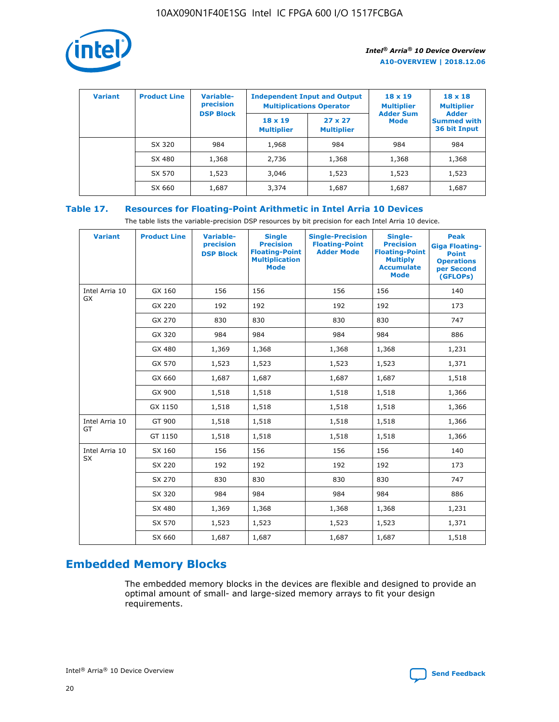

| <b>Variant</b> | <b>Product Line</b> | Variable-<br>precision | <b>Independent Input and Output</b><br><b>Multiplications Operator</b> |                                     | $18 \times 19$<br><b>Multiplier</b> | $18 \times 18$<br><b>Multiplier</b><br><b>Adder</b> |  |
|----------------|---------------------|------------------------|------------------------------------------------------------------------|-------------------------------------|-------------------------------------|-----------------------------------------------------|--|
|                |                     | <b>DSP Block</b>       | $18 \times 19$<br><b>Multiplier</b>                                    | $27 \times 27$<br><b>Multiplier</b> | <b>Adder Sum</b><br><b>Mode</b>     | <b>Summed with</b><br>36 bit Input                  |  |
|                | SX 320              | 984                    | 1,968                                                                  | 984                                 | 984                                 | 984                                                 |  |
|                | SX 480              | 1,368                  | 2,736                                                                  | 1,368                               | 1,368                               | 1,368                                               |  |
|                | SX 570              | 1,523                  | 3,046                                                                  | 1,523                               | 1,523                               | 1,523                                               |  |
|                | SX 660              | 1,687                  | 3,374                                                                  | 1,687                               | 1,687                               | 1,687                                               |  |

#### **Table 17. Resources for Floating-Point Arithmetic in Intel Arria 10 Devices**

The table lists the variable-precision DSP resources by bit precision for each Intel Arria 10 device.

| <b>Variant</b>       | <b>Product Line</b> | <b>Variable-</b><br>precision<br><b>DSP Block</b> | <b>Single</b><br><b>Precision</b><br><b>Floating-Point</b><br><b>Multiplication</b><br><b>Mode</b> | <b>Single-Precision</b><br><b>Floating-Point</b><br><b>Adder Mode</b> | Single-<br><b>Precision</b><br><b>Floating-Point</b><br><b>Multiply</b><br><b>Accumulate</b><br><b>Mode</b> | <b>Peak</b><br><b>Giga Floating-</b><br><b>Point</b><br><b>Operations</b><br>per Second<br>(GFLOPs) |
|----------------------|---------------------|---------------------------------------------------|----------------------------------------------------------------------------------------------------|-----------------------------------------------------------------------|-------------------------------------------------------------------------------------------------------------|-----------------------------------------------------------------------------------------------------|
| Intel Arria 10<br>GX | GX 160              | 156                                               | 156                                                                                                | 156                                                                   | 156                                                                                                         | 140                                                                                                 |
|                      | GX 220              | 192                                               | 192                                                                                                | 192                                                                   | 192                                                                                                         | 173                                                                                                 |
|                      | GX 270              | 830                                               | 830                                                                                                | 830                                                                   | 830                                                                                                         | 747                                                                                                 |
|                      | GX 320              | 984                                               | 984                                                                                                | 984                                                                   | 984                                                                                                         | 886                                                                                                 |
|                      | GX 480              | 1,369                                             | 1,368                                                                                              | 1,368                                                                 | 1,368                                                                                                       | 1,231                                                                                               |
|                      | GX 570              | 1,523                                             | 1,523                                                                                              | 1,523                                                                 | 1,523                                                                                                       | 1,371                                                                                               |
|                      | GX 660              | 1,687                                             | 1,687                                                                                              | 1,687                                                                 | 1,687                                                                                                       | 1,518                                                                                               |
|                      | GX 900              | 1,518                                             | 1,518                                                                                              | 1,518                                                                 | 1,518                                                                                                       | 1,366                                                                                               |
|                      | GX 1150             | 1,518                                             | 1,518                                                                                              | 1,518                                                                 | 1,518                                                                                                       | 1,366                                                                                               |
| Intel Arria 10       | GT 900              | 1,518                                             | 1,518                                                                                              | 1,518                                                                 | 1,518                                                                                                       | 1,366                                                                                               |
| GT                   | GT 1150             | 1,518                                             | 1,518                                                                                              | 1,518                                                                 | 1,518                                                                                                       | 1,366                                                                                               |
| Intel Arria 10       | SX 160              | 156                                               | 156                                                                                                | 156                                                                   | 156                                                                                                         | 140                                                                                                 |
| <b>SX</b>            | SX 220              | 192                                               | 192                                                                                                | 192                                                                   | 192                                                                                                         | 173                                                                                                 |
|                      | SX 270              | 830                                               | 830                                                                                                | 830                                                                   | 830                                                                                                         | 747                                                                                                 |
|                      | SX 320              | 984                                               | 984                                                                                                | 984                                                                   | 984                                                                                                         | 886                                                                                                 |
|                      | SX 480              | 1,369                                             | 1,368                                                                                              | 1,368                                                                 | 1,368                                                                                                       | 1,231                                                                                               |
|                      | SX 570              | 1,523                                             | 1,523                                                                                              | 1,523                                                                 | 1,523                                                                                                       | 1,371                                                                                               |
|                      | SX 660              | 1,687                                             | 1,687                                                                                              | 1,687                                                                 | 1,687                                                                                                       | 1,518                                                                                               |

## **Embedded Memory Blocks**

The embedded memory blocks in the devices are flexible and designed to provide an optimal amount of small- and large-sized memory arrays to fit your design requirements.

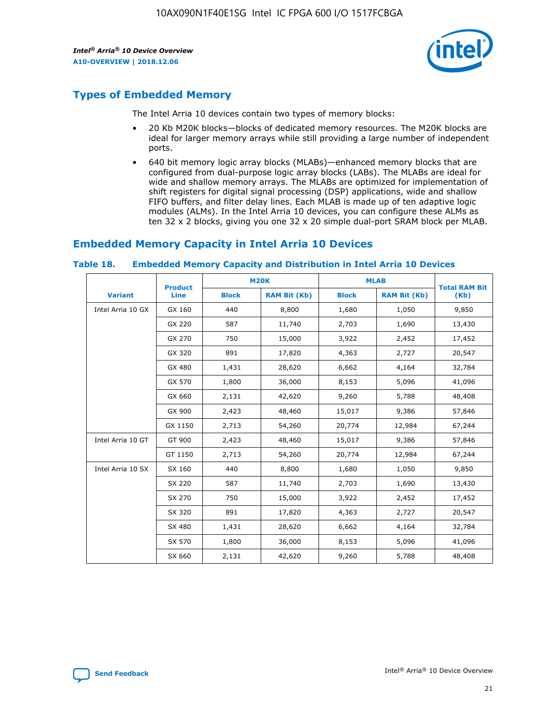

## **Types of Embedded Memory**

The Intel Arria 10 devices contain two types of memory blocks:

- 20 Kb M20K blocks—blocks of dedicated memory resources. The M20K blocks are ideal for larger memory arrays while still providing a large number of independent ports.
- 640 bit memory logic array blocks (MLABs)—enhanced memory blocks that are configured from dual-purpose logic array blocks (LABs). The MLABs are ideal for wide and shallow memory arrays. The MLABs are optimized for implementation of shift registers for digital signal processing (DSP) applications, wide and shallow FIFO buffers, and filter delay lines. Each MLAB is made up of ten adaptive logic modules (ALMs). In the Intel Arria 10 devices, you can configure these ALMs as ten 32 x 2 blocks, giving you one 32 x 20 simple dual-port SRAM block per MLAB.

## **Embedded Memory Capacity in Intel Arria 10 Devices**

|                   | <b>Product</b> | <b>M20K</b>  |                     | <b>MLAB</b>  |                     | <b>Total RAM Bit</b> |
|-------------------|----------------|--------------|---------------------|--------------|---------------------|----------------------|
| <b>Variant</b>    | <b>Line</b>    | <b>Block</b> | <b>RAM Bit (Kb)</b> | <b>Block</b> | <b>RAM Bit (Kb)</b> | (Kb)                 |
| Intel Arria 10 GX | GX 160         | 440          | 8,800               | 1,680        | 1,050               | 9,850                |
|                   | GX 220         | 587          | 11,740              | 2,703        | 1,690               | 13,430               |
|                   | GX 270         | 750          | 15,000              | 3,922        | 2,452               | 17,452               |
|                   | GX 320         | 891          | 17,820              | 4,363        | 2,727               | 20,547               |
|                   | GX 480         | 1,431        | 28,620              | 6,662        | 4,164               | 32,784               |
|                   | GX 570         | 1,800        | 36,000              | 8,153        | 5,096               | 41,096               |
|                   | GX 660         | 2,131        | 42,620              | 9,260        | 5,788               | 48,408               |
|                   | GX 900         | 2,423        | 48,460              | 15,017       | 9,386               | 57,846               |
|                   | GX 1150        | 2,713        | 54,260              | 20,774       | 12,984              | 67,244               |
| Intel Arria 10 GT | GT 900         | 2,423        | 48,460              | 15,017       | 9,386               | 57,846               |
|                   | GT 1150        | 2,713        | 54,260              | 20,774       | 12,984              | 67,244               |
| Intel Arria 10 SX | SX 160         | 440          | 8,800               | 1,680        | 1,050               | 9,850                |
|                   | SX 220         | 587          | 11,740              | 2,703        | 1,690               | 13,430               |
|                   | SX 270         | 750          | 15,000              | 3,922        | 2,452               | 17,452               |
|                   | SX 320         | 891          | 17,820              | 4,363        | 2,727               | 20,547               |
|                   | SX 480         | 1,431        | 28,620              | 6,662        | 4,164               | 32,784               |
|                   | SX 570         | 1,800        | 36,000              | 8,153        | 5,096               | 41,096               |
|                   | SX 660         | 2,131        | 42,620              | 9,260        | 5,788               | 48,408               |

#### **Table 18. Embedded Memory Capacity and Distribution in Intel Arria 10 Devices**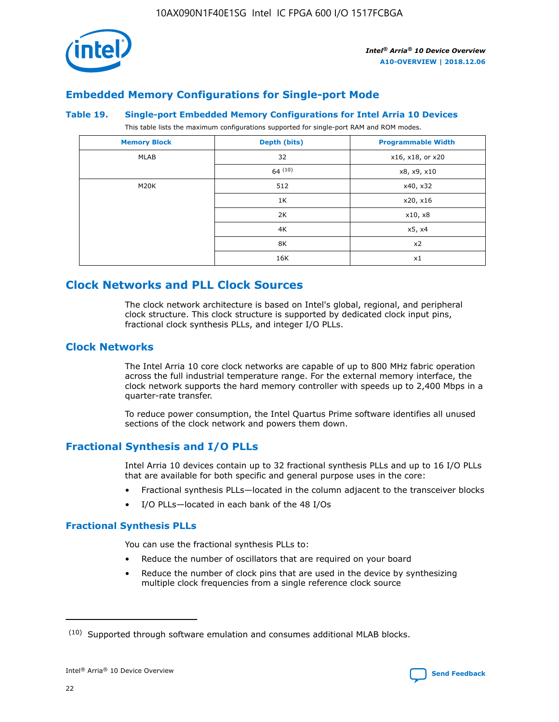

## **Embedded Memory Configurations for Single-port Mode**

#### **Table 19. Single-port Embedded Memory Configurations for Intel Arria 10 Devices**

This table lists the maximum configurations supported for single-port RAM and ROM modes.

| <b>Memory Block</b> | Depth (bits) | <b>Programmable Width</b> |
|---------------------|--------------|---------------------------|
| MLAB                | 32           | x16, x18, or x20          |
|                     | 64(10)       | x8, x9, x10               |
| M20K                | 512          | x40, x32                  |
|                     | 1K           | x20, x16                  |
|                     | 2K           | x10, x8                   |
|                     | 4K           | x5, x4                    |
|                     | 8K           | x2                        |
|                     | 16K          | x1                        |

## **Clock Networks and PLL Clock Sources**

The clock network architecture is based on Intel's global, regional, and peripheral clock structure. This clock structure is supported by dedicated clock input pins, fractional clock synthesis PLLs, and integer I/O PLLs.

#### **Clock Networks**

The Intel Arria 10 core clock networks are capable of up to 800 MHz fabric operation across the full industrial temperature range. For the external memory interface, the clock network supports the hard memory controller with speeds up to 2,400 Mbps in a quarter-rate transfer.

To reduce power consumption, the Intel Quartus Prime software identifies all unused sections of the clock network and powers them down.

#### **Fractional Synthesis and I/O PLLs**

Intel Arria 10 devices contain up to 32 fractional synthesis PLLs and up to 16 I/O PLLs that are available for both specific and general purpose uses in the core:

- Fractional synthesis PLLs—located in the column adjacent to the transceiver blocks
- I/O PLLs—located in each bank of the 48 I/Os

#### **Fractional Synthesis PLLs**

You can use the fractional synthesis PLLs to:

- Reduce the number of oscillators that are required on your board
- Reduce the number of clock pins that are used in the device by synthesizing multiple clock frequencies from a single reference clock source

<sup>(10)</sup> Supported through software emulation and consumes additional MLAB blocks.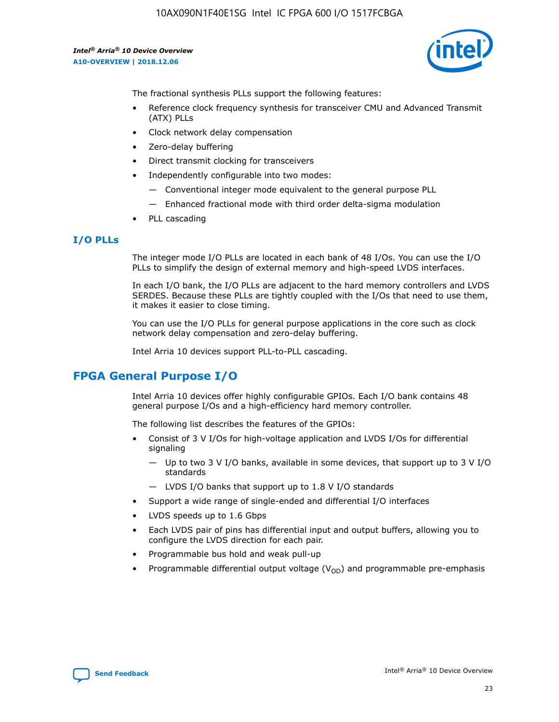

The fractional synthesis PLLs support the following features:

- Reference clock frequency synthesis for transceiver CMU and Advanced Transmit (ATX) PLLs
- Clock network delay compensation
- Zero-delay buffering
- Direct transmit clocking for transceivers
- Independently configurable into two modes:
	- Conventional integer mode equivalent to the general purpose PLL
	- Enhanced fractional mode with third order delta-sigma modulation
- PLL cascading

#### **I/O PLLs**

The integer mode I/O PLLs are located in each bank of 48 I/Os. You can use the I/O PLLs to simplify the design of external memory and high-speed LVDS interfaces.

In each I/O bank, the I/O PLLs are adjacent to the hard memory controllers and LVDS SERDES. Because these PLLs are tightly coupled with the I/Os that need to use them, it makes it easier to close timing.

You can use the I/O PLLs for general purpose applications in the core such as clock network delay compensation and zero-delay buffering.

Intel Arria 10 devices support PLL-to-PLL cascading.

## **FPGA General Purpose I/O**

Intel Arria 10 devices offer highly configurable GPIOs. Each I/O bank contains 48 general purpose I/Os and a high-efficiency hard memory controller.

The following list describes the features of the GPIOs:

- Consist of 3 V I/Os for high-voltage application and LVDS I/Os for differential signaling
	- Up to two 3 V I/O banks, available in some devices, that support up to 3 V I/O standards
	- LVDS I/O banks that support up to 1.8 V I/O standards
- Support a wide range of single-ended and differential I/O interfaces
- LVDS speeds up to 1.6 Gbps
- Each LVDS pair of pins has differential input and output buffers, allowing you to configure the LVDS direction for each pair.
- Programmable bus hold and weak pull-up
- Programmable differential output voltage  $(V_{OD})$  and programmable pre-emphasis

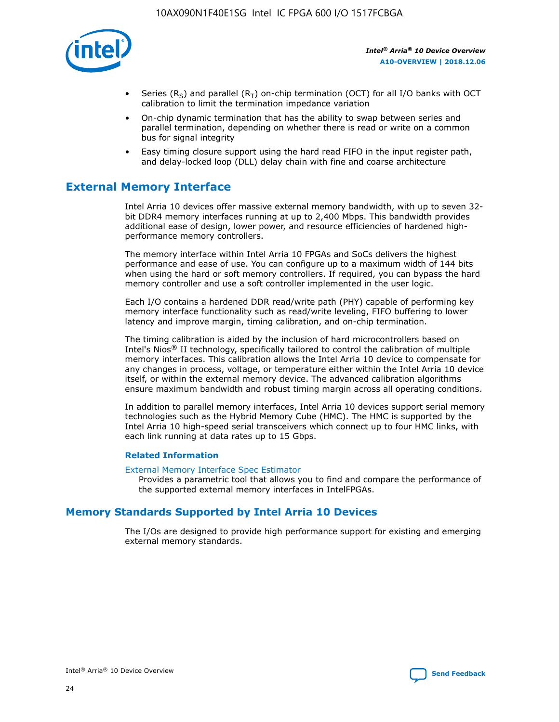

- Series (R<sub>S</sub>) and parallel (R<sub>T</sub>) on-chip termination (OCT) for all I/O banks with OCT calibration to limit the termination impedance variation
- On-chip dynamic termination that has the ability to swap between series and parallel termination, depending on whether there is read or write on a common bus for signal integrity
- Easy timing closure support using the hard read FIFO in the input register path, and delay-locked loop (DLL) delay chain with fine and coarse architecture

## **External Memory Interface**

Intel Arria 10 devices offer massive external memory bandwidth, with up to seven 32 bit DDR4 memory interfaces running at up to 2,400 Mbps. This bandwidth provides additional ease of design, lower power, and resource efficiencies of hardened highperformance memory controllers.

The memory interface within Intel Arria 10 FPGAs and SoCs delivers the highest performance and ease of use. You can configure up to a maximum width of 144 bits when using the hard or soft memory controllers. If required, you can bypass the hard memory controller and use a soft controller implemented in the user logic.

Each I/O contains a hardened DDR read/write path (PHY) capable of performing key memory interface functionality such as read/write leveling, FIFO buffering to lower latency and improve margin, timing calibration, and on-chip termination.

The timing calibration is aided by the inclusion of hard microcontrollers based on Intel's Nios® II technology, specifically tailored to control the calibration of multiple memory interfaces. This calibration allows the Intel Arria 10 device to compensate for any changes in process, voltage, or temperature either within the Intel Arria 10 device itself, or within the external memory device. The advanced calibration algorithms ensure maximum bandwidth and robust timing margin across all operating conditions.

In addition to parallel memory interfaces, Intel Arria 10 devices support serial memory technologies such as the Hybrid Memory Cube (HMC). The HMC is supported by the Intel Arria 10 high-speed serial transceivers which connect up to four HMC links, with each link running at data rates up to 15 Gbps.

#### **Related Information**

#### [External Memory Interface Spec Estimator](http://www.altera.com/technology/memory/estimator/mem-emif-index.html)

Provides a parametric tool that allows you to find and compare the performance of the supported external memory interfaces in IntelFPGAs.

#### **Memory Standards Supported by Intel Arria 10 Devices**

The I/Os are designed to provide high performance support for existing and emerging external memory standards.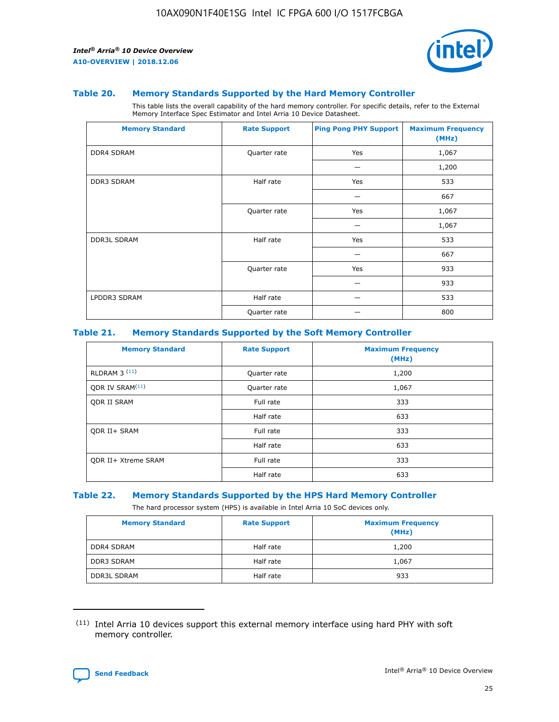

#### **Table 20. Memory Standards Supported by the Hard Memory Controller**

This table lists the overall capability of the hard memory controller. For specific details, refer to the External Memory Interface Spec Estimator and Intel Arria 10 Device Datasheet.

| <b>Memory Standard</b> | <b>Rate Support</b> | <b>Ping Pong PHY Support</b> | <b>Maximum Frequency</b><br>(MHz) |
|------------------------|---------------------|------------------------------|-----------------------------------|
| <b>DDR4 SDRAM</b>      | Quarter rate        | Yes                          | 1,067                             |
|                        |                     |                              | 1,200                             |
| DDR3 SDRAM             | Half rate           | Yes                          | 533                               |
|                        |                     |                              | 667                               |
|                        | Quarter rate        | Yes                          | 1,067                             |
|                        |                     |                              | 1,067                             |
| <b>DDR3L SDRAM</b>     | Half rate           | Yes                          | 533                               |
|                        |                     |                              | 667                               |
|                        | Quarter rate        | Yes                          | 933                               |
|                        |                     |                              | 933                               |
| LPDDR3 SDRAM           | Half rate           |                              | 533                               |
|                        | Quarter rate        |                              | 800                               |

#### **Table 21. Memory Standards Supported by the Soft Memory Controller**

| <b>Memory Standard</b>      | <b>Rate Support</b> | <b>Maximum Frequency</b><br>(MHz) |
|-----------------------------|---------------------|-----------------------------------|
| <b>RLDRAM 3 (11)</b>        | Quarter rate        | 1,200                             |
| ODR IV SRAM <sup>(11)</sup> | Quarter rate        | 1,067                             |
| <b>ODR II SRAM</b>          | Full rate           | 333                               |
|                             | Half rate           | 633                               |
| <b>ODR II+ SRAM</b>         | Full rate           | 333                               |
|                             | Half rate           | 633                               |
| <b>ODR II+ Xtreme SRAM</b>  | Full rate           | 333                               |
|                             | Half rate           | 633                               |

#### **Table 22. Memory Standards Supported by the HPS Hard Memory Controller**

The hard processor system (HPS) is available in Intel Arria 10 SoC devices only.

| <b>Memory Standard</b> | <b>Rate Support</b> | <b>Maximum Frequency</b><br>(MHz) |
|------------------------|---------------------|-----------------------------------|
| <b>DDR4 SDRAM</b>      | Half rate           | 1,200                             |
| <b>DDR3 SDRAM</b>      | Half rate           | 1,067                             |
| <b>DDR3L SDRAM</b>     | Half rate           | 933                               |

<sup>(11)</sup> Intel Arria 10 devices support this external memory interface using hard PHY with soft memory controller.

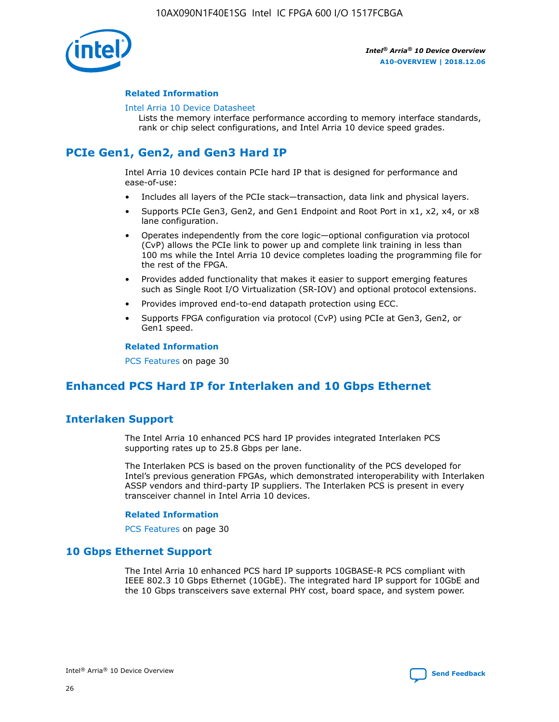

#### **Related Information**

#### [Intel Arria 10 Device Datasheet](https://www.intel.com/content/www/us/en/programmable/documentation/mcn1413182292568.html#mcn1413182153340)

Lists the memory interface performance according to memory interface standards, rank or chip select configurations, and Intel Arria 10 device speed grades.

## **PCIe Gen1, Gen2, and Gen3 Hard IP**

Intel Arria 10 devices contain PCIe hard IP that is designed for performance and ease-of-use:

- Includes all layers of the PCIe stack—transaction, data link and physical layers.
- Supports PCIe Gen3, Gen2, and Gen1 Endpoint and Root Port in x1, x2, x4, or x8 lane configuration.
- Operates independently from the core logic—optional configuration via protocol (CvP) allows the PCIe link to power up and complete link training in less than 100 ms while the Intel Arria 10 device completes loading the programming file for the rest of the FPGA.
- Provides added functionality that makes it easier to support emerging features such as Single Root I/O Virtualization (SR-IOV) and optional protocol extensions.
- Provides improved end-to-end datapath protection using ECC.
- Supports FPGA configuration via protocol (CvP) using PCIe at Gen3, Gen2, or Gen1 speed.

#### **Related Information**

PCS Features on page 30

## **Enhanced PCS Hard IP for Interlaken and 10 Gbps Ethernet**

#### **Interlaken Support**

The Intel Arria 10 enhanced PCS hard IP provides integrated Interlaken PCS supporting rates up to 25.8 Gbps per lane.

The Interlaken PCS is based on the proven functionality of the PCS developed for Intel's previous generation FPGAs, which demonstrated interoperability with Interlaken ASSP vendors and third-party IP suppliers. The Interlaken PCS is present in every transceiver channel in Intel Arria 10 devices.

#### **Related Information**

PCS Features on page 30

#### **10 Gbps Ethernet Support**

The Intel Arria 10 enhanced PCS hard IP supports 10GBASE-R PCS compliant with IEEE 802.3 10 Gbps Ethernet (10GbE). The integrated hard IP support for 10GbE and the 10 Gbps transceivers save external PHY cost, board space, and system power.

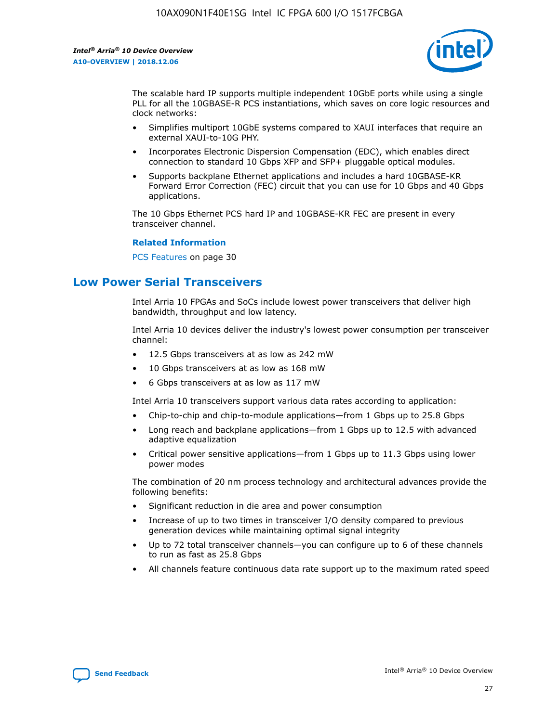

The scalable hard IP supports multiple independent 10GbE ports while using a single PLL for all the 10GBASE-R PCS instantiations, which saves on core logic resources and clock networks:

- Simplifies multiport 10GbE systems compared to XAUI interfaces that require an external XAUI-to-10G PHY.
- Incorporates Electronic Dispersion Compensation (EDC), which enables direct connection to standard 10 Gbps XFP and SFP+ pluggable optical modules.
- Supports backplane Ethernet applications and includes a hard 10GBASE-KR Forward Error Correction (FEC) circuit that you can use for 10 Gbps and 40 Gbps applications.

The 10 Gbps Ethernet PCS hard IP and 10GBASE-KR FEC are present in every transceiver channel.

#### **Related Information**

PCS Features on page 30

## **Low Power Serial Transceivers**

Intel Arria 10 FPGAs and SoCs include lowest power transceivers that deliver high bandwidth, throughput and low latency.

Intel Arria 10 devices deliver the industry's lowest power consumption per transceiver channel:

- 12.5 Gbps transceivers at as low as 242 mW
- 10 Gbps transceivers at as low as 168 mW
- 6 Gbps transceivers at as low as 117 mW

Intel Arria 10 transceivers support various data rates according to application:

- Chip-to-chip and chip-to-module applications—from 1 Gbps up to 25.8 Gbps
- Long reach and backplane applications—from 1 Gbps up to 12.5 with advanced adaptive equalization
- Critical power sensitive applications—from 1 Gbps up to 11.3 Gbps using lower power modes

The combination of 20 nm process technology and architectural advances provide the following benefits:

- Significant reduction in die area and power consumption
- Increase of up to two times in transceiver I/O density compared to previous generation devices while maintaining optimal signal integrity
- Up to 72 total transceiver channels—you can configure up to 6 of these channels to run as fast as 25.8 Gbps
- All channels feature continuous data rate support up to the maximum rated speed

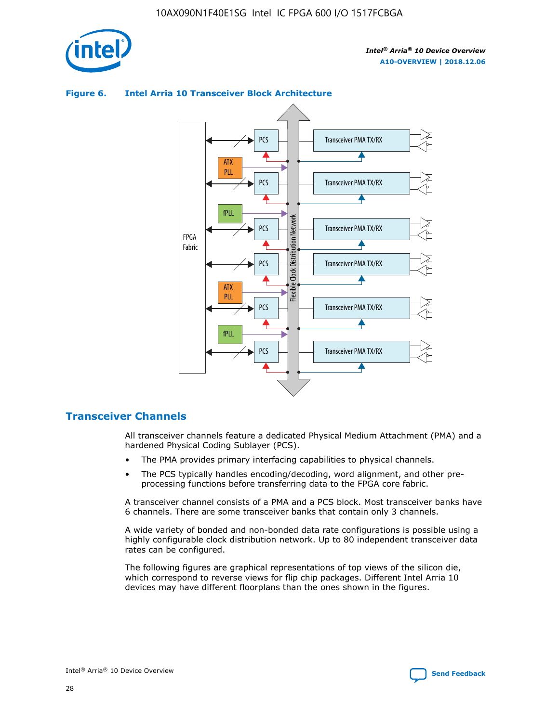



#### **Figure 6. Intel Arria 10 Transceiver Block Architecture**

#### **Transceiver Channels**

All transceiver channels feature a dedicated Physical Medium Attachment (PMA) and a hardened Physical Coding Sublayer (PCS).

- The PMA provides primary interfacing capabilities to physical channels.
- The PCS typically handles encoding/decoding, word alignment, and other preprocessing functions before transferring data to the FPGA core fabric.

A transceiver channel consists of a PMA and a PCS block. Most transceiver banks have 6 channels. There are some transceiver banks that contain only 3 channels.

A wide variety of bonded and non-bonded data rate configurations is possible using a highly configurable clock distribution network. Up to 80 independent transceiver data rates can be configured.

The following figures are graphical representations of top views of the silicon die, which correspond to reverse views for flip chip packages. Different Intel Arria 10 devices may have different floorplans than the ones shown in the figures.

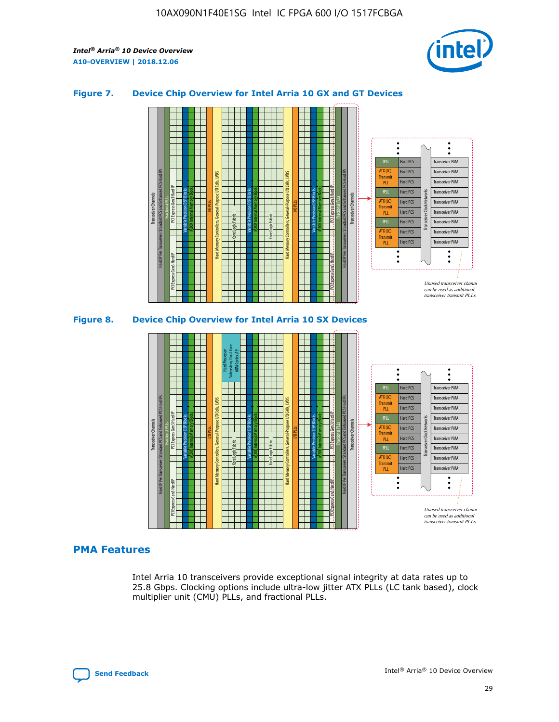

#### **Figure 7. Device Chip Overview for Intel Arria 10 GX and GT Devices**



M20K Internal Memory Blocks Core Logic Fabric Transceiver Channels Hard IP Per Transceiver: Standard PCS and Enhanced PCS Hard IPs PCI Express Gen3 Hard IP Fractional PLLs M20K Internal Memory Blocks PCI Express Gen3 Hard IP Variable Precision DSP Blocks I/O PLLs Hard Memory Controllers, General-Purpose I/O Cells, LVDS Hard Processor Subsystem, Dual-Core ARM Cortex A9 M20K Internal Memory Blocks Variable Precision DSP Blocks M20K Internal Memory Blocks Core Logic Fabric I/O PLLs Hard Memory Controllers, General-Purpose I/O Cells, LVDS M20K Internal Memory Blocks Variable Precision DSP Blocks M20K Internal Memory Blocks Transceiver Channels Hard IP Per Transceiver: Standard PCS and Enhanced PCS Hard IPs PCI Express Gen3 Hard IP Fractional PLLs PCI Express Gen3 Hard IP Hard PCS Hard PCS Hard PCS Hard PCS Hard PCS Hard PCS Hard PCS Hard PCS Hard PCS Transceiver PMA Transceiver PMA Transceiver PMA Transceiver PMA Transceiver PMA Transceiver PMA Transceiver PMA Unused transceiver chann can be used as additional transceiver transmit PLLs Transceiver PMA Transceiver PMA Transceiver Clock Networks fPLL ATX (LC) **Transmit** PLL fPLL ATX (LC) Transmi PLL fPLL ATX (LC) **Transmit** PLL

#### **PMA Features**

Intel Arria 10 transceivers provide exceptional signal integrity at data rates up to 25.8 Gbps. Clocking options include ultra-low jitter ATX PLLs (LC tank based), clock multiplier unit (CMU) PLLs, and fractional PLLs.

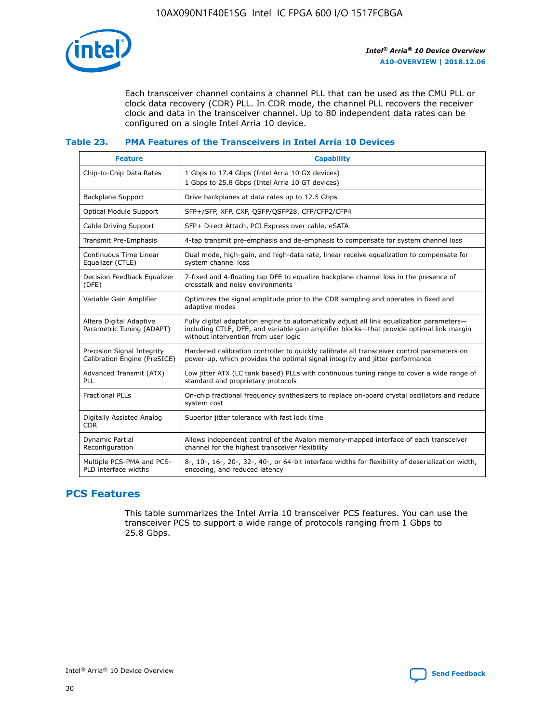

Each transceiver channel contains a channel PLL that can be used as the CMU PLL or clock data recovery (CDR) PLL. In CDR mode, the channel PLL recovers the receiver clock and data in the transceiver channel. Up to 80 independent data rates can be configured on a single Intel Arria 10 device.

#### **Table 23. PMA Features of the Transceivers in Intel Arria 10 Devices**

| <b>Feature</b>                                             | <b>Capability</b>                                                                                                                                                                                                             |
|------------------------------------------------------------|-------------------------------------------------------------------------------------------------------------------------------------------------------------------------------------------------------------------------------|
| Chip-to-Chip Data Rates                                    | 1 Gbps to 17.4 Gbps (Intel Arria 10 GX devices)<br>1 Gbps to 25.8 Gbps (Intel Arria 10 GT devices)                                                                                                                            |
| Backplane Support                                          | Drive backplanes at data rates up to 12.5 Gbps                                                                                                                                                                                |
| <b>Optical Module Support</b>                              | SFP+/SFP, XFP, CXP, QSFP/QSFP28, CFP/CFP2/CFP4                                                                                                                                                                                |
| Cable Driving Support                                      | SFP+ Direct Attach, PCI Express over cable, eSATA                                                                                                                                                                             |
| Transmit Pre-Emphasis                                      | 4-tap transmit pre-emphasis and de-emphasis to compensate for system channel loss                                                                                                                                             |
| Continuous Time Linear<br>Equalizer (CTLE)                 | Dual mode, high-gain, and high-data rate, linear receive equalization to compensate for<br>system channel loss                                                                                                                |
| Decision Feedback Equalizer<br>(DFE)                       | 7-fixed and 4-floating tap DFE to equalize backplane channel loss in the presence of<br>crosstalk and noisy environments                                                                                                      |
| Variable Gain Amplifier                                    | Optimizes the signal amplitude prior to the CDR sampling and operates in fixed and<br>adaptive modes                                                                                                                          |
| Altera Digital Adaptive<br>Parametric Tuning (ADAPT)       | Fully digital adaptation engine to automatically adjust all link equalization parameters-<br>including CTLE, DFE, and variable gain amplifier blocks—that provide optimal link margin<br>without intervention from user logic |
| Precision Signal Integrity<br>Calibration Engine (PreSICE) | Hardened calibration controller to quickly calibrate all transceiver control parameters on<br>power-up, which provides the optimal signal integrity and jitter performance                                                    |
| Advanced Transmit (ATX)<br><b>PLL</b>                      | Low jitter ATX (LC tank based) PLLs with continuous tuning range to cover a wide range of<br>standard and proprietary protocols                                                                                               |
| <b>Fractional PLLs</b>                                     | On-chip fractional frequency synthesizers to replace on-board crystal oscillators and reduce<br>system cost                                                                                                                   |
| Digitally Assisted Analog<br><b>CDR</b>                    | Superior jitter tolerance with fast lock time                                                                                                                                                                                 |
| Dynamic Partial<br>Reconfiguration                         | Allows independent control of the Avalon memory-mapped interface of each transceiver<br>channel for the highest transceiver flexibility                                                                                       |
| Multiple PCS-PMA and PCS-<br>PLD interface widths          | 8-, 10-, 16-, 20-, 32-, 40-, or 64-bit interface widths for flexibility of deserialization width,<br>encoding, and reduced latency                                                                                            |

#### **PCS Features**

This table summarizes the Intel Arria 10 transceiver PCS features. You can use the transceiver PCS to support a wide range of protocols ranging from 1 Gbps to 25.8 Gbps.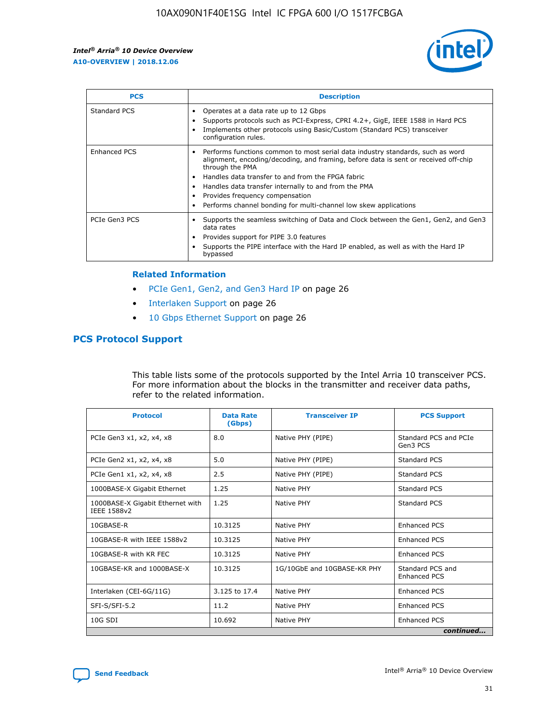

| <b>PCS</b>    | <b>Description</b>                                                                                                                                                                                                                                                                                                                                                                                             |
|---------------|----------------------------------------------------------------------------------------------------------------------------------------------------------------------------------------------------------------------------------------------------------------------------------------------------------------------------------------------------------------------------------------------------------------|
| Standard PCS  | Operates at a data rate up to 12 Gbps<br>Supports protocols such as PCI-Express, CPRI 4.2+, GigE, IEEE 1588 in Hard PCS<br>Implements other protocols using Basic/Custom (Standard PCS) transceiver<br>configuration rules.                                                                                                                                                                                    |
| Enhanced PCS  | Performs functions common to most serial data industry standards, such as word<br>alignment, encoding/decoding, and framing, before data is sent or received off-chip<br>through the PMA<br>• Handles data transfer to and from the FPGA fabric<br>Handles data transfer internally to and from the PMA<br>Provides frequency compensation<br>Performs channel bonding for multi-channel low skew applications |
| PCIe Gen3 PCS | Supports the seamless switching of Data and Clock between the Gen1, Gen2, and Gen3<br>data rates<br>Provides support for PIPE 3.0 features<br>Supports the PIPE interface with the Hard IP enabled, as well as with the Hard IP<br>bypassed                                                                                                                                                                    |

#### **Related Information**

- PCIe Gen1, Gen2, and Gen3 Hard IP on page 26
- Interlaken Support on page 26
- 10 Gbps Ethernet Support on page 26

#### **PCS Protocol Support**

This table lists some of the protocols supported by the Intel Arria 10 transceiver PCS. For more information about the blocks in the transmitter and receiver data paths, refer to the related information.

| <b>Protocol</b>                                 | <b>Data Rate</b><br>(Gbps) | <b>Transceiver IP</b>       | <b>PCS Support</b>                      |
|-------------------------------------------------|----------------------------|-----------------------------|-----------------------------------------|
| PCIe Gen3 x1, x2, x4, x8                        | 8.0                        | Native PHY (PIPE)           | Standard PCS and PCIe<br>Gen3 PCS       |
| PCIe Gen2 x1, x2, x4, x8                        | 5.0                        | Native PHY (PIPE)           | <b>Standard PCS</b>                     |
| PCIe Gen1 x1, x2, x4, x8                        | 2.5                        | Native PHY (PIPE)           | Standard PCS                            |
| 1000BASE-X Gigabit Ethernet                     | 1.25                       | Native PHY                  | <b>Standard PCS</b>                     |
| 1000BASE-X Gigabit Ethernet with<br>IEEE 1588v2 | 1.25                       | Native PHY                  | Standard PCS                            |
| 10GBASE-R                                       | 10.3125                    | Native PHY                  | <b>Enhanced PCS</b>                     |
| 10GBASE-R with IEEE 1588v2                      | 10.3125                    | Native PHY                  | <b>Enhanced PCS</b>                     |
| 10GBASE-R with KR FEC                           | 10.3125                    | Native PHY                  | <b>Enhanced PCS</b>                     |
| 10GBASE-KR and 1000BASE-X                       | 10.3125                    | 1G/10GbE and 10GBASE-KR PHY | Standard PCS and<br><b>Enhanced PCS</b> |
| Interlaken (CEI-6G/11G)                         | 3.125 to 17.4              | Native PHY                  | <b>Enhanced PCS</b>                     |
| SFI-S/SFI-5.2                                   | 11.2                       | Native PHY                  | <b>Enhanced PCS</b>                     |
| 10G SDI                                         | 10.692                     | Native PHY                  | <b>Enhanced PCS</b>                     |
|                                                 |                            |                             | continued                               |

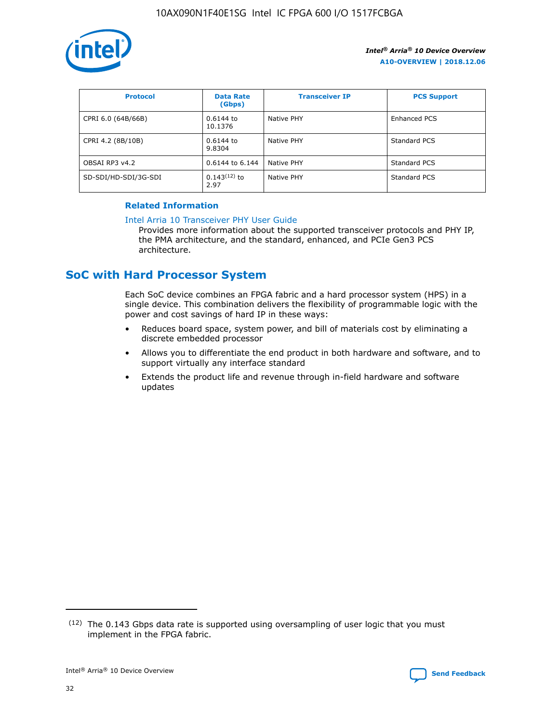

| <b>Protocol</b>      | <b>Data Rate</b><br>(Gbps) | <b>Transceiver IP</b> | <b>PCS Support</b> |
|----------------------|----------------------------|-----------------------|--------------------|
| CPRI 6.0 (64B/66B)   | 0.6144 to<br>10.1376       | Native PHY            | Enhanced PCS       |
| CPRI 4.2 (8B/10B)    | 0.6144 to<br>9.8304        | Native PHY            | Standard PCS       |
| OBSAI RP3 v4.2       | 0.6144 to 6.144            | Native PHY            | Standard PCS       |
| SD-SDI/HD-SDI/3G-SDI | $0.143(12)$ to<br>2.97     | Native PHY            | Standard PCS       |

#### **Related Information**

#### [Intel Arria 10 Transceiver PHY User Guide](https://www.intel.com/content/www/us/en/programmable/documentation/nik1398707230472.html#nik1398707091164)

Provides more information about the supported transceiver protocols and PHY IP, the PMA architecture, and the standard, enhanced, and PCIe Gen3 PCS architecture.

## **SoC with Hard Processor System**

Each SoC device combines an FPGA fabric and a hard processor system (HPS) in a single device. This combination delivers the flexibility of programmable logic with the power and cost savings of hard IP in these ways:

- Reduces board space, system power, and bill of materials cost by eliminating a discrete embedded processor
- Allows you to differentiate the end product in both hardware and software, and to support virtually any interface standard
- Extends the product life and revenue through in-field hardware and software updates

<sup>(12)</sup> The 0.143 Gbps data rate is supported using oversampling of user logic that you must implement in the FPGA fabric.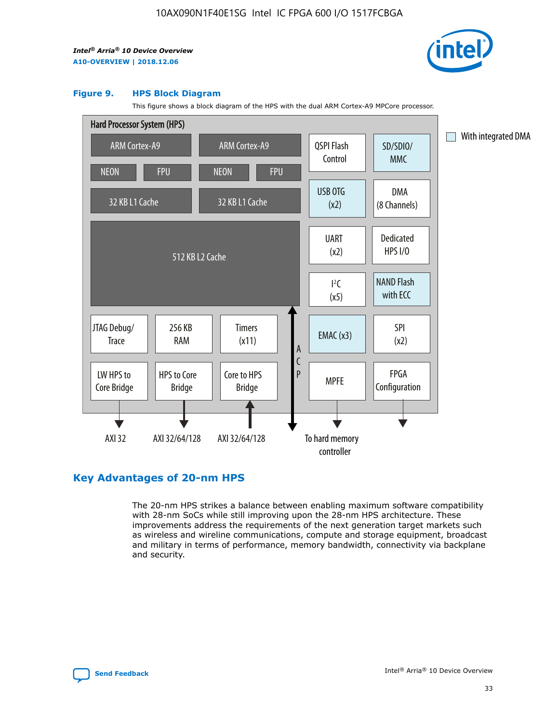

#### **Figure 9. HPS Block Diagram**

This figure shows a block diagram of the HPS with the dual ARM Cortex-A9 MPCore processor.



#### **Key Advantages of 20-nm HPS**

The 20-nm HPS strikes a balance between enabling maximum software compatibility with 28-nm SoCs while still improving upon the 28-nm HPS architecture. These improvements address the requirements of the next generation target markets such as wireless and wireline communications, compute and storage equipment, broadcast and military in terms of performance, memory bandwidth, connectivity via backplane and security.

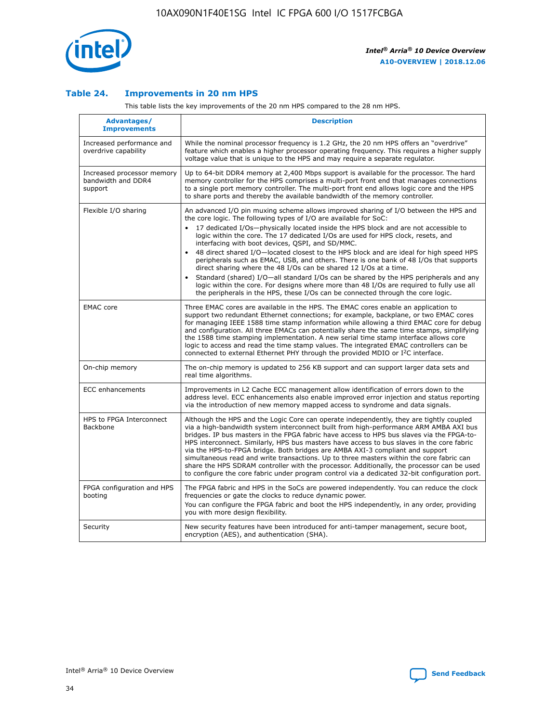

#### **Table 24. Improvements in 20 nm HPS**

This table lists the key improvements of the 20 nm HPS compared to the 28 nm HPS.

| Advantages/<br><b>Improvements</b>                          | <b>Description</b>                                                                                                                                                                                                                                                                                                                                                                                                                                                                                                                                                                                                                                                                                                                                                                                                                   |
|-------------------------------------------------------------|--------------------------------------------------------------------------------------------------------------------------------------------------------------------------------------------------------------------------------------------------------------------------------------------------------------------------------------------------------------------------------------------------------------------------------------------------------------------------------------------------------------------------------------------------------------------------------------------------------------------------------------------------------------------------------------------------------------------------------------------------------------------------------------------------------------------------------------|
| Increased performance and<br>overdrive capability           | While the nominal processor frequency is 1.2 GHz, the 20 nm HPS offers an "overdrive"<br>feature which enables a higher processor operating frequency. This requires a higher supply<br>voltage value that is unique to the HPS and may require a separate regulator.                                                                                                                                                                                                                                                                                                                                                                                                                                                                                                                                                                |
| Increased processor memory<br>bandwidth and DDR4<br>support | Up to 64-bit DDR4 memory at 2,400 Mbps support is available for the processor. The hard<br>memory controller for the HPS comprises a multi-port front end that manages connections<br>to a single port memory controller. The multi-port front end allows logic core and the HPS<br>to share ports and thereby the available bandwidth of the memory controller.                                                                                                                                                                                                                                                                                                                                                                                                                                                                     |
| Flexible I/O sharing                                        | An advanced I/O pin muxing scheme allows improved sharing of I/O between the HPS and<br>the core logic. The following types of I/O are available for SoC:<br>17 dedicated I/Os-physically located inside the HPS block and are not accessible to<br>logic within the core. The 17 dedicated I/Os are used for HPS clock, resets, and<br>interfacing with boot devices, QSPI, and SD/MMC.<br>48 direct shared I/O-located closest to the HPS block and are ideal for high speed HPS<br>peripherals such as EMAC, USB, and others. There is one bank of 48 I/Os that supports<br>direct sharing where the 48 I/Os can be shared 12 I/Os at a time.<br>Standard (shared) I/O-all standard I/Os can be shared by the HPS peripherals and any<br>logic within the core. For designs where more than 48 I/Os are reguired to fully use all |
| <b>EMAC</b> core                                            | the peripherals in the HPS, these I/Os can be connected through the core logic.<br>Three EMAC cores are available in the HPS. The EMAC cores enable an application to<br>support two redundant Ethernet connections; for example, backplane, or two EMAC cores<br>for managing IEEE 1588 time stamp information while allowing a third EMAC core for debug<br>and configuration. All three EMACs can potentially share the same time stamps, simplifying<br>the 1588 time stamping implementation. A new serial time stamp interface allows core<br>logic to access and read the time stamp values. The integrated EMAC controllers can be<br>connected to external Ethernet PHY through the provided MDIO or I <sup>2</sup> C interface.                                                                                            |
| On-chip memory                                              | The on-chip memory is updated to 256 KB support and can support larger data sets and<br>real time algorithms.                                                                                                                                                                                                                                                                                                                                                                                                                                                                                                                                                                                                                                                                                                                        |
| <b>ECC</b> enhancements                                     | Improvements in L2 Cache ECC management allow identification of errors down to the<br>address level. ECC enhancements also enable improved error injection and status reporting<br>via the introduction of new memory mapped access to syndrome and data signals.                                                                                                                                                                                                                                                                                                                                                                                                                                                                                                                                                                    |
| HPS to FPGA Interconnect<br>Backbone                        | Although the HPS and the Logic Core can operate independently, they are tightly coupled<br>via a high-bandwidth system interconnect built from high-performance ARM AMBA AXI bus<br>bridges. IP bus masters in the FPGA fabric have access to HPS bus slaves via the FPGA-to-<br>HPS interconnect. Similarly, HPS bus masters have access to bus slaves in the core fabric<br>via the HPS-to-FPGA bridge. Both bridges are AMBA AXI-3 compliant and support<br>simultaneous read and write transactions. Up to three masters within the core fabric can<br>share the HPS SDRAM controller with the processor. Additionally, the processor can be used<br>to configure the core fabric under program control via a dedicated 32-bit configuration port.                                                                               |
| FPGA configuration and HPS<br>booting                       | The FPGA fabric and HPS in the SoCs are powered independently. You can reduce the clock<br>frequencies or gate the clocks to reduce dynamic power.<br>You can configure the FPGA fabric and boot the HPS independently, in any order, providing<br>you with more design flexibility.                                                                                                                                                                                                                                                                                                                                                                                                                                                                                                                                                 |
| Security                                                    | New security features have been introduced for anti-tamper management, secure boot,<br>encryption (AES), and authentication (SHA).                                                                                                                                                                                                                                                                                                                                                                                                                                                                                                                                                                                                                                                                                                   |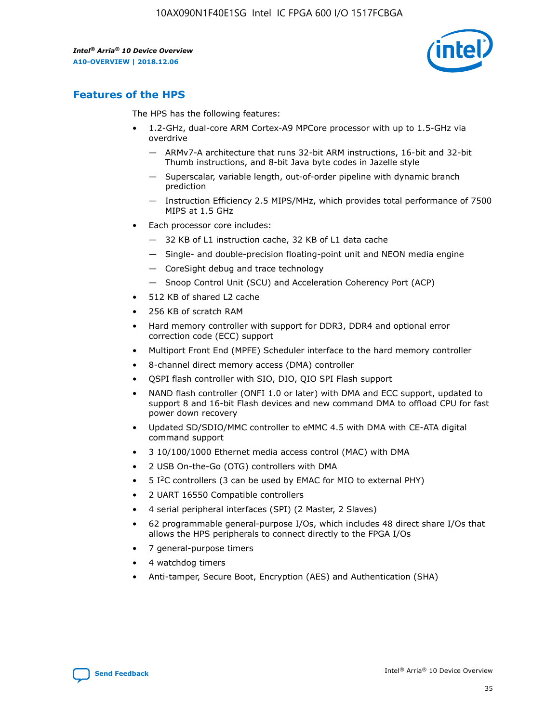

## **Features of the HPS**

The HPS has the following features:

- 1.2-GHz, dual-core ARM Cortex-A9 MPCore processor with up to 1.5-GHz via overdrive
	- ARMv7-A architecture that runs 32-bit ARM instructions, 16-bit and 32-bit Thumb instructions, and 8-bit Java byte codes in Jazelle style
	- Superscalar, variable length, out-of-order pipeline with dynamic branch prediction
	- Instruction Efficiency 2.5 MIPS/MHz, which provides total performance of 7500 MIPS at 1.5 GHz
- Each processor core includes:
	- 32 KB of L1 instruction cache, 32 KB of L1 data cache
	- Single- and double-precision floating-point unit and NEON media engine
	- CoreSight debug and trace technology
	- Snoop Control Unit (SCU) and Acceleration Coherency Port (ACP)
- 512 KB of shared L2 cache
- 256 KB of scratch RAM
- Hard memory controller with support for DDR3, DDR4 and optional error correction code (ECC) support
- Multiport Front End (MPFE) Scheduler interface to the hard memory controller
- 8-channel direct memory access (DMA) controller
- QSPI flash controller with SIO, DIO, QIO SPI Flash support
- NAND flash controller (ONFI 1.0 or later) with DMA and ECC support, updated to support 8 and 16-bit Flash devices and new command DMA to offload CPU for fast power down recovery
- Updated SD/SDIO/MMC controller to eMMC 4.5 with DMA with CE-ATA digital command support
- 3 10/100/1000 Ethernet media access control (MAC) with DMA
- 2 USB On-the-Go (OTG) controllers with DMA
- $\bullet$  5 I<sup>2</sup>C controllers (3 can be used by EMAC for MIO to external PHY)
- 2 UART 16550 Compatible controllers
- 4 serial peripheral interfaces (SPI) (2 Master, 2 Slaves)
- 62 programmable general-purpose I/Os, which includes 48 direct share I/Os that allows the HPS peripherals to connect directly to the FPGA I/Os
- 7 general-purpose timers
- 4 watchdog timers
- Anti-tamper, Secure Boot, Encryption (AES) and Authentication (SHA)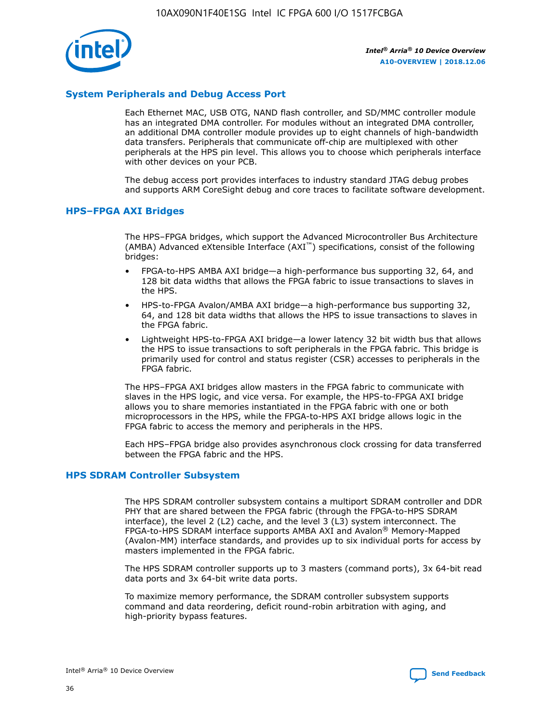

#### **System Peripherals and Debug Access Port**

Each Ethernet MAC, USB OTG, NAND flash controller, and SD/MMC controller module has an integrated DMA controller. For modules without an integrated DMA controller, an additional DMA controller module provides up to eight channels of high-bandwidth data transfers. Peripherals that communicate off-chip are multiplexed with other peripherals at the HPS pin level. This allows you to choose which peripherals interface with other devices on your PCB.

The debug access port provides interfaces to industry standard JTAG debug probes and supports ARM CoreSight debug and core traces to facilitate software development.

#### **HPS–FPGA AXI Bridges**

The HPS–FPGA bridges, which support the Advanced Microcontroller Bus Architecture (AMBA) Advanced eXtensible Interface (AXI™) specifications, consist of the following bridges:

- FPGA-to-HPS AMBA AXI bridge—a high-performance bus supporting 32, 64, and 128 bit data widths that allows the FPGA fabric to issue transactions to slaves in the HPS.
- HPS-to-FPGA Avalon/AMBA AXI bridge—a high-performance bus supporting 32, 64, and 128 bit data widths that allows the HPS to issue transactions to slaves in the FPGA fabric.
- Lightweight HPS-to-FPGA AXI bridge—a lower latency 32 bit width bus that allows the HPS to issue transactions to soft peripherals in the FPGA fabric. This bridge is primarily used for control and status register (CSR) accesses to peripherals in the FPGA fabric.

The HPS–FPGA AXI bridges allow masters in the FPGA fabric to communicate with slaves in the HPS logic, and vice versa. For example, the HPS-to-FPGA AXI bridge allows you to share memories instantiated in the FPGA fabric with one or both microprocessors in the HPS, while the FPGA-to-HPS AXI bridge allows logic in the FPGA fabric to access the memory and peripherals in the HPS.

Each HPS–FPGA bridge also provides asynchronous clock crossing for data transferred between the FPGA fabric and the HPS.

#### **HPS SDRAM Controller Subsystem**

The HPS SDRAM controller subsystem contains a multiport SDRAM controller and DDR PHY that are shared between the FPGA fabric (through the FPGA-to-HPS SDRAM interface), the level 2 (L2) cache, and the level 3 (L3) system interconnect. The FPGA-to-HPS SDRAM interface supports AMBA AXI and Avalon® Memory-Mapped (Avalon-MM) interface standards, and provides up to six individual ports for access by masters implemented in the FPGA fabric.

The HPS SDRAM controller supports up to 3 masters (command ports), 3x 64-bit read data ports and 3x 64-bit write data ports.

To maximize memory performance, the SDRAM controller subsystem supports command and data reordering, deficit round-robin arbitration with aging, and high-priority bypass features.

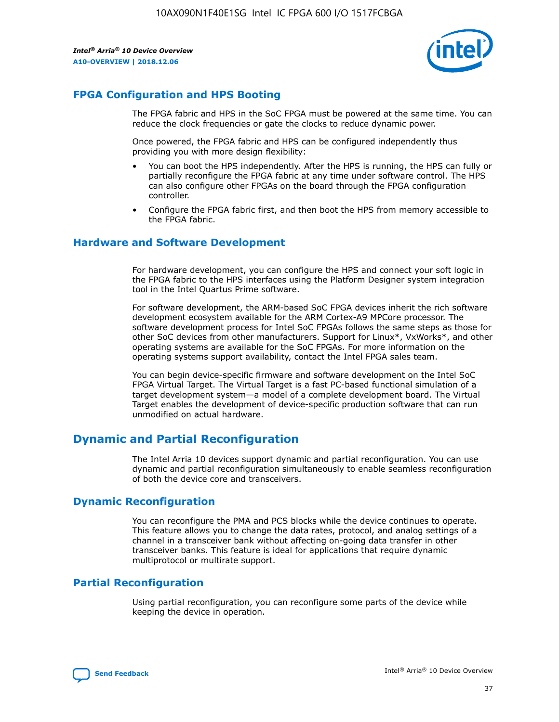

#### **FPGA Configuration and HPS Booting**

The FPGA fabric and HPS in the SoC FPGA must be powered at the same time. You can reduce the clock frequencies or gate the clocks to reduce dynamic power.

Once powered, the FPGA fabric and HPS can be configured independently thus providing you with more design flexibility:

- You can boot the HPS independently. After the HPS is running, the HPS can fully or partially reconfigure the FPGA fabric at any time under software control. The HPS can also configure other FPGAs on the board through the FPGA configuration controller.
- Configure the FPGA fabric first, and then boot the HPS from memory accessible to the FPGA fabric.

#### **Hardware and Software Development**

For hardware development, you can configure the HPS and connect your soft logic in the FPGA fabric to the HPS interfaces using the Platform Designer system integration tool in the Intel Quartus Prime software.

For software development, the ARM-based SoC FPGA devices inherit the rich software development ecosystem available for the ARM Cortex-A9 MPCore processor. The software development process for Intel SoC FPGAs follows the same steps as those for other SoC devices from other manufacturers. Support for Linux\*, VxWorks\*, and other operating systems are available for the SoC FPGAs. For more information on the operating systems support availability, contact the Intel FPGA sales team.

You can begin device-specific firmware and software development on the Intel SoC FPGA Virtual Target. The Virtual Target is a fast PC-based functional simulation of a target development system—a model of a complete development board. The Virtual Target enables the development of device-specific production software that can run unmodified on actual hardware.

#### **Dynamic and Partial Reconfiguration**

The Intel Arria 10 devices support dynamic and partial reconfiguration. You can use dynamic and partial reconfiguration simultaneously to enable seamless reconfiguration of both the device core and transceivers.

#### **Dynamic Reconfiguration**

You can reconfigure the PMA and PCS blocks while the device continues to operate. This feature allows you to change the data rates, protocol, and analog settings of a channel in a transceiver bank without affecting on-going data transfer in other transceiver banks. This feature is ideal for applications that require dynamic multiprotocol or multirate support.

## **Partial Reconfiguration**

Using partial reconfiguration, you can reconfigure some parts of the device while keeping the device in operation.

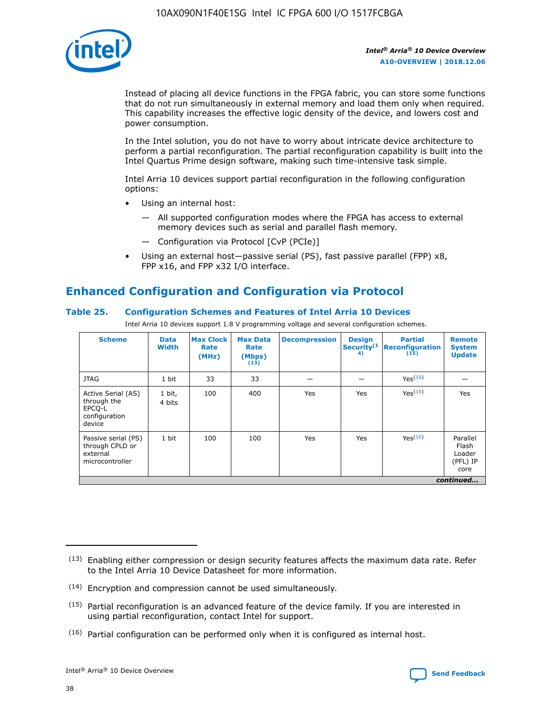

Instead of placing all device functions in the FPGA fabric, you can store some functions that do not run simultaneously in external memory and load them only when required. This capability increases the effective logic density of the device, and lowers cost and power consumption.

In the Intel solution, you do not have to worry about intricate device architecture to perform a partial reconfiguration. The partial reconfiguration capability is built into the Intel Quartus Prime design software, making such time-intensive task simple.

Intel Arria 10 devices support partial reconfiguration in the following configuration options:

- Using an internal host:
	- All supported configuration modes where the FPGA has access to external memory devices such as serial and parallel flash memory.
	- Configuration via Protocol [CvP (PCIe)]
- Using an external host—passive serial (PS), fast passive parallel (FPP) x8, FPP x16, and FPP x32 I/O interface.

## **Enhanced Configuration and Configuration via Protocol**

#### **Table 25. Configuration Schemes and Features of Intel Arria 10 Devices**

Intel Arria 10 devices support 1.8 V programming voltage and several configuration schemes.

| <b>Scheme</b>                                                          | <b>Data</b><br><b>Width</b> | <b>Max Clock</b><br>Rate<br>(MHz) | <b>Max Data</b><br>Rate<br>(Mbps)<br>(13) | <b>Decompression</b> | <b>Design</b><br>Security <sup>(1</sup><br>4) | <b>Partial</b><br>Reconfiguration<br>(15) | <b>Remote</b><br><b>System</b><br><b>Update</b> |
|------------------------------------------------------------------------|-----------------------------|-----------------------------------|-------------------------------------------|----------------------|-----------------------------------------------|-------------------------------------------|-------------------------------------------------|
| <b>JTAG</b>                                                            | 1 bit                       | 33                                | 33                                        |                      |                                               | Yes <sup>(16)</sup>                       |                                                 |
| Active Serial (AS)<br>through the<br>EPCO-L<br>configuration<br>device | 1 bit,<br>4 bits            | 100                               | 400                                       | Yes                  | Yes                                           | $Y_{PS}(16)$                              | Yes                                             |
| Passive serial (PS)<br>through CPLD or<br>external<br>microcontroller  | 1 bit                       | 100                               | 100                                       | Yes                  | Yes                                           | Yes(16)                                   | Parallel<br>Flash<br>Loader<br>(PFL) IP<br>core |
|                                                                        | continued                   |                                   |                                           |                      |                                               |                                           |                                                 |

<sup>(13)</sup> Enabling either compression or design security features affects the maximum data rate. Refer to the Intel Arria 10 Device Datasheet for more information.

<sup>(14)</sup> Encryption and compression cannot be used simultaneously.

 $(15)$  Partial reconfiguration is an advanced feature of the device family. If you are interested in using partial reconfiguration, contact Intel for support.

 $(16)$  Partial configuration can be performed only when it is configured as internal host.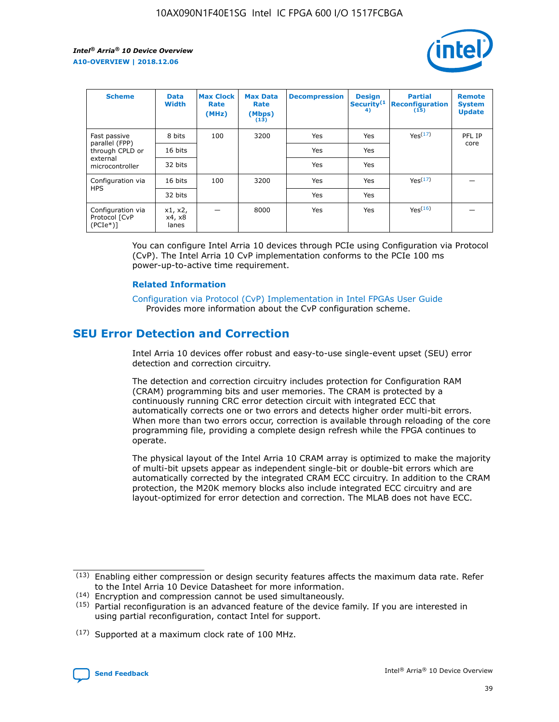

| <b>Scheme</b>                                   | <b>Data</b><br><b>Width</b> | <b>Max Clock</b><br>Rate<br>(MHz) | <b>Max Data</b><br>Rate<br>(Mbps)<br>(13) | <b>Decompression</b> | <b>Design</b><br>Security <sup>(1</sup><br>4) | <b>Partial</b><br><b>Reconfiguration</b><br>(15) | <b>Remote</b><br><b>System</b><br><b>Update</b> |
|-------------------------------------------------|-----------------------------|-----------------------------------|-------------------------------------------|----------------------|-----------------------------------------------|--------------------------------------------------|-------------------------------------------------|
| Fast passive                                    | 8 bits                      | 100                               | 3200                                      | Yes                  | Yes                                           | Yes(17)                                          | PFL IP                                          |
| parallel (FPP)<br>through CPLD or               | 16 bits                     |                                   |                                           | Yes                  | Yes                                           |                                                  | core                                            |
| external<br>microcontroller                     | 32 bits                     |                                   |                                           | Yes                  | Yes                                           |                                                  |                                                 |
| Configuration via                               | 16 bits                     | 100                               | 3200                                      | Yes                  | Yes                                           | Yes <sup>(17)</sup>                              |                                                 |
| <b>HPS</b>                                      | 32 bits                     |                                   |                                           | Yes                  | Yes                                           |                                                  |                                                 |
| Configuration via<br>Protocol [CvP<br>$(PCIe*)$ | x1, x2,<br>x4, x8<br>lanes  |                                   | 8000                                      | Yes                  | Yes                                           | Yes <sup>(16)</sup>                              |                                                 |

You can configure Intel Arria 10 devices through PCIe using Configuration via Protocol (CvP). The Intel Arria 10 CvP implementation conforms to the PCIe 100 ms power-up-to-active time requirement.

#### **Related Information**

[Configuration via Protocol \(CvP\) Implementation in Intel FPGAs User Guide](https://www.intel.com/content/www/us/en/programmable/documentation/dsu1441819344145.html#dsu1442269728522) Provides more information about the CvP configuration scheme.

## **SEU Error Detection and Correction**

Intel Arria 10 devices offer robust and easy-to-use single-event upset (SEU) error detection and correction circuitry.

The detection and correction circuitry includes protection for Configuration RAM (CRAM) programming bits and user memories. The CRAM is protected by a continuously running CRC error detection circuit with integrated ECC that automatically corrects one or two errors and detects higher order multi-bit errors. When more than two errors occur, correction is available through reloading of the core programming file, providing a complete design refresh while the FPGA continues to operate.

The physical layout of the Intel Arria 10 CRAM array is optimized to make the majority of multi-bit upsets appear as independent single-bit or double-bit errors which are automatically corrected by the integrated CRAM ECC circuitry. In addition to the CRAM protection, the M20K memory blocks also include integrated ECC circuitry and are layout-optimized for error detection and correction. The MLAB does not have ECC.

<sup>(17)</sup> Supported at a maximum clock rate of 100 MHz.



 $(13)$  Enabling either compression or design security features affects the maximum data rate. Refer to the Intel Arria 10 Device Datasheet for more information.

<sup>(14)</sup> Encryption and compression cannot be used simultaneously.

 $(15)$  Partial reconfiguration is an advanced feature of the device family. If you are interested in using partial reconfiguration, contact Intel for support.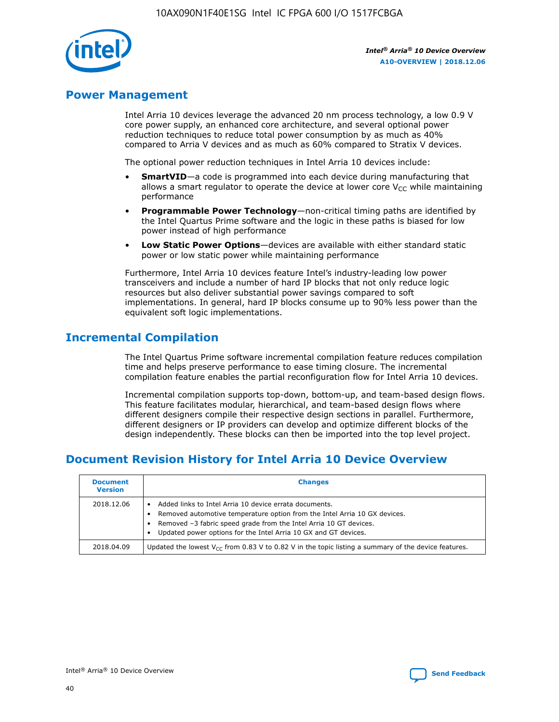

## **Power Management**

Intel Arria 10 devices leverage the advanced 20 nm process technology, a low 0.9 V core power supply, an enhanced core architecture, and several optional power reduction techniques to reduce total power consumption by as much as 40% compared to Arria V devices and as much as 60% compared to Stratix V devices.

The optional power reduction techniques in Intel Arria 10 devices include:

- **SmartVID**—a code is programmed into each device during manufacturing that allows a smart regulator to operate the device at lower core  $V_{CC}$  while maintaining performance
- **Programmable Power Technology**—non-critical timing paths are identified by the Intel Quartus Prime software and the logic in these paths is biased for low power instead of high performance
- **Low Static Power Options**—devices are available with either standard static power or low static power while maintaining performance

Furthermore, Intel Arria 10 devices feature Intel's industry-leading low power transceivers and include a number of hard IP blocks that not only reduce logic resources but also deliver substantial power savings compared to soft implementations. In general, hard IP blocks consume up to 90% less power than the equivalent soft logic implementations.

## **Incremental Compilation**

The Intel Quartus Prime software incremental compilation feature reduces compilation time and helps preserve performance to ease timing closure. The incremental compilation feature enables the partial reconfiguration flow for Intel Arria 10 devices.

Incremental compilation supports top-down, bottom-up, and team-based design flows. This feature facilitates modular, hierarchical, and team-based design flows where different designers compile their respective design sections in parallel. Furthermore, different designers or IP providers can develop and optimize different blocks of the design independently. These blocks can then be imported into the top level project.

## **Document Revision History for Intel Arria 10 Device Overview**

| <b>Document</b><br><b>Version</b> | <b>Changes</b>                                                                                                                                                                                                                                                              |
|-----------------------------------|-----------------------------------------------------------------------------------------------------------------------------------------------------------------------------------------------------------------------------------------------------------------------------|
| 2018.12.06                        | Added links to Intel Arria 10 device errata documents.<br>Removed automotive temperature option from the Intel Arria 10 GX devices.<br>Removed -3 fabric speed grade from the Intel Arria 10 GT devices.<br>Updated power options for the Intel Arria 10 GX and GT devices. |
| 2018.04.09                        | Updated the lowest $V_{CC}$ from 0.83 V to 0.82 V in the topic listing a summary of the device features.                                                                                                                                                                    |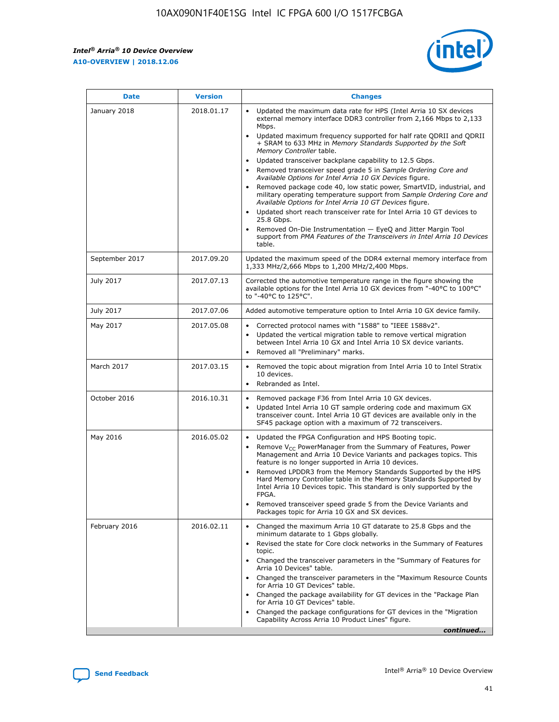*Intel® Arria® 10 Device Overview* **A10-OVERVIEW | 2018.12.06**



| <b>Date</b>    | <b>Version</b> | <b>Changes</b>                                                                                                                                                                                                                                                                                                                                                                                                                                                                                                                                                                                                                                                                                                                                                                                                                                                                                                                                                                         |
|----------------|----------------|----------------------------------------------------------------------------------------------------------------------------------------------------------------------------------------------------------------------------------------------------------------------------------------------------------------------------------------------------------------------------------------------------------------------------------------------------------------------------------------------------------------------------------------------------------------------------------------------------------------------------------------------------------------------------------------------------------------------------------------------------------------------------------------------------------------------------------------------------------------------------------------------------------------------------------------------------------------------------------------|
| January 2018   | 2018.01.17     | Updated the maximum data rate for HPS (Intel Arria 10 SX devices<br>external memory interface DDR3 controller from 2,166 Mbps to 2,133<br>Mbps.<br>Updated maximum frequency supported for half rate QDRII and QDRII<br>+ SRAM to 633 MHz in Memory Standards Supported by the Soft<br>Memory Controller table.<br>Updated transceiver backplane capability to 12.5 Gbps.<br>$\bullet$<br>Removed transceiver speed grade 5 in Sample Ordering Core and<br>$\bullet$<br>Available Options for Intel Arria 10 GX Devices figure.<br>Removed package code 40, low static power, SmartVID, industrial, and<br>military operating temperature support from Sample Ordering Core and<br>Available Options for Intel Arria 10 GT Devices figure.<br>Updated short reach transceiver rate for Intel Arria 10 GT devices to<br>25.8 Gbps.<br>Removed On-Die Instrumentation - EyeQ and Jitter Margin Tool<br>support from PMA Features of the Transceivers in Intel Arria 10 Devices<br>table. |
| September 2017 | 2017.09.20     | Updated the maximum speed of the DDR4 external memory interface from<br>1,333 MHz/2,666 Mbps to 1,200 MHz/2,400 Mbps.                                                                                                                                                                                                                                                                                                                                                                                                                                                                                                                                                                                                                                                                                                                                                                                                                                                                  |
| July 2017      | 2017.07.13     | Corrected the automotive temperature range in the figure showing the<br>available options for the Intel Arria 10 GX devices from "-40°C to 100°C"<br>to "-40°C to 125°C".                                                                                                                                                                                                                                                                                                                                                                                                                                                                                                                                                                                                                                                                                                                                                                                                              |
| July 2017      | 2017.07.06     | Added automotive temperature option to Intel Arria 10 GX device family.                                                                                                                                                                                                                                                                                                                                                                                                                                                                                                                                                                                                                                                                                                                                                                                                                                                                                                                |
| May 2017       | 2017.05.08     | Corrected protocol names with "1588" to "IEEE 1588v2".<br>$\bullet$<br>Updated the vertical migration table to remove vertical migration<br>$\bullet$<br>between Intel Arria 10 GX and Intel Arria 10 SX device variants.<br>Removed all "Preliminary" marks.<br>$\bullet$                                                                                                                                                                                                                                                                                                                                                                                                                                                                                                                                                                                                                                                                                                             |
| March 2017     | 2017.03.15     | Removed the topic about migration from Intel Arria 10 to Intel Stratix<br>$\bullet$<br>10 devices.<br>Rebranded as Intel.<br>$\bullet$                                                                                                                                                                                                                                                                                                                                                                                                                                                                                                                                                                                                                                                                                                                                                                                                                                                 |
| October 2016   | 2016.10.31     | Removed package F36 from Intel Arria 10 GX devices.<br>Updated Intel Arria 10 GT sample ordering code and maximum GX<br>$\bullet$<br>transceiver count. Intel Arria 10 GT devices are available only in the<br>SF45 package option with a maximum of 72 transceivers.                                                                                                                                                                                                                                                                                                                                                                                                                                                                                                                                                                                                                                                                                                                  |
| May 2016       | 2016.05.02     | Updated the FPGA Configuration and HPS Booting topic.<br>$\bullet$<br>Remove V <sub>CC</sub> PowerManager from the Summary of Features, Power<br>Management and Arria 10 Device Variants and packages topics. This<br>feature is no longer supported in Arria 10 devices.<br>Removed LPDDR3 from the Memory Standards Supported by the HPS<br>Hard Memory Controller table in the Memory Standards Supported by<br>Intel Arria 10 Devices topic. This standard is only supported by the<br>FPGA.<br>Removed transceiver speed grade 5 from the Device Variants and<br>Packages topic for Arria 10 GX and SX devices.                                                                                                                                                                                                                                                                                                                                                                   |
| February 2016  | 2016.02.11     | Changed the maximum Arria 10 GT datarate to 25.8 Gbps and the<br>minimum datarate to 1 Gbps globally.<br>Revised the state for Core clock networks in the Summary of Features<br>$\bullet$<br>topic.<br>Changed the transceiver parameters in the "Summary of Features for<br>$\bullet$<br>Arria 10 Devices" table.<br>• Changed the transceiver parameters in the "Maximum Resource Counts<br>for Arria 10 GT Devices" table.<br>Changed the package availability for GT devices in the "Package Plan<br>for Arria 10 GT Devices" table.<br>Changed the package configurations for GT devices in the "Migration"<br>Capability Across Arria 10 Product Lines" figure.<br>continued                                                                                                                                                                                                                                                                                                    |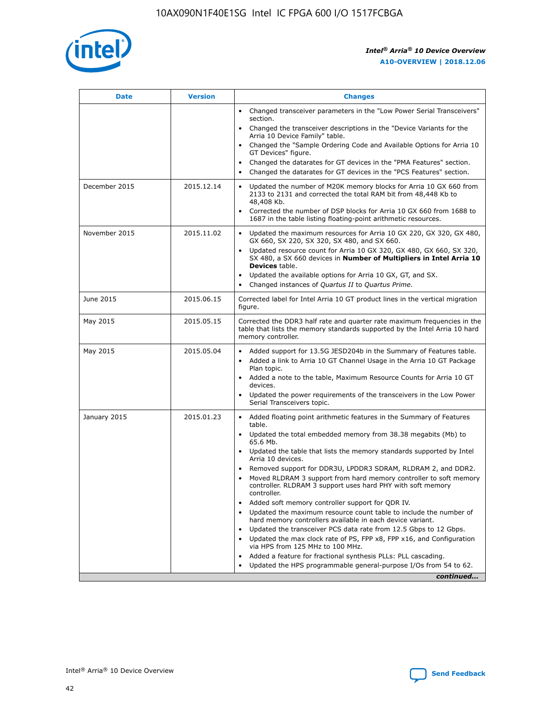

| <b>Date</b>   | <b>Version</b> | <b>Changes</b>                                                                                                                                                               |
|---------------|----------------|------------------------------------------------------------------------------------------------------------------------------------------------------------------------------|
|               |                | Changed transceiver parameters in the "Low Power Serial Transceivers"<br>section.                                                                                            |
|               |                | • Changed the transceiver descriptions in the "Device Variants for the<br>Arria 10 Device Family" table.                                                                     |
|               |                | Changed the "Sample Ordering Code and Available Options for Arria 10<br>GT Devices" figure.                                                                                  |
|               |                | Changed the datarates for GT devices in the "PMA Features" section.                                                                                                          |
|               |                | Changed the datarates for GT devices in the "PCS Features" section.<br>$\bullet$                                                                                             |
| December 2015 | 2015.12.14     | Updated the number of M20K memory blocks for Arria 10 GX 660 from<br>2133 to 2131 and corrected the total RAM bit from 48,448 Kb to<br>48,408 Kb.                            |
|               |                | Corrected the number of DSP blocks for Arria 10 GX 660 from 1688 to<br>$\bullet$<br>1687 in the table listing floating-point arithmetic resources.                           |
| November 2015 | 2015.11.02     | Updated the maximum resources for Arria 10 GX 220, GX 320, GX 480,<br>GX 660, SX 220, SX 320, SX 480, and SX 660.                                                            |
|               |                | Updated resource count for Arria 10 GX 320, GX 480, GX 660, SX 320,<br>SX 480, a SX 660 devices in Number of Multipliers in Intel Arria 10<br><b>Devices</b> table.          |
|               |                | Updated the available options for Arria 10 GX, GT, and SX.<br>$\bullet$                                                                                                      |
|               |                | Changed instances of Quartus II to Quartus Prime.<br>$\bullet$                                                                                                               |
| June 2015     | 2015.06.15     | Corrected label for Intel Arria 10 GT product lines in the vertical migration<br>figure.                                                                                     |
| May 2015      | 2015.05.15     | Corrected the DDR3 half rate and quarter rate maximum frequencies in the<br>table that lists the memory standards supported by the Intel Arria 10 hard<br>memory controller. |
| May 2015      | 2015.05.04     | Added support for 13.5G JESD204b in the Summary of Features table.<br>Added a link to Arria 10 GT Channel Usage in the Arria 10 GT Package                                   |
|               |                | Plan topic.                                                                                                                                                                  |
|               |                | • Added a note to the table, Maximum Resource Counts for Arria 10 GT<br>devices.                                                                                             |
|               |                | Updated the power requirements of the transceivers in the Low Power<br>Serial Transceivers topic.                                                                            |
| January 2015  | 2015.01.23     | • Added floating point arithmetic features in the Summary of Features<br>table.                                                                                              |
|               |                | Updated the total embedded memory from 38.38 megabits (Mb) to<br>$\bullet$<br>65.6 Mb.                                                                                       |
|               |                | • Updated the table that lists the memory standards supported by Intel<br>Arria 10 devices.                                                                                  |
|               |                | Removed support for DDR3U, LPDDR3 SDRAM, RLDRAM 2, and DDR2.                                                                                                                 |
|               |                | Moved RLDRAM 3 support from hard memory controller to soft memory<br>controller. RLDRAM 3 support uses hard PHY with soft memory<br>controller.                              |
|               |                | Added soft memory controller support for QDR IV.                                                                                                                             |
|               |                | Updated the maximum resource count table to include the number of<br>$\bullet$<br>hard memory controllers available in each device variant.                                  |
|               |                | Updated the transceiver PCS data rate from 12.5 Gbps to 12 Gbps.                                                                                                             |
|               |                | Updated the max clock rate of PS, FPP x8, FPP x16, and Configuration<br>via HPS from 125 MHz to 100 MHz.                                                                     |
|               |                | Added a feature for fractional synthesis PLLs: PLL cascading.                                                                                                                |
|               |                | Updated the HPS programmable general-purpose I/Os from 54 to 62.<br>$\bullet$                                                                                                |
|               |                | continued                                                                                                                                                                    |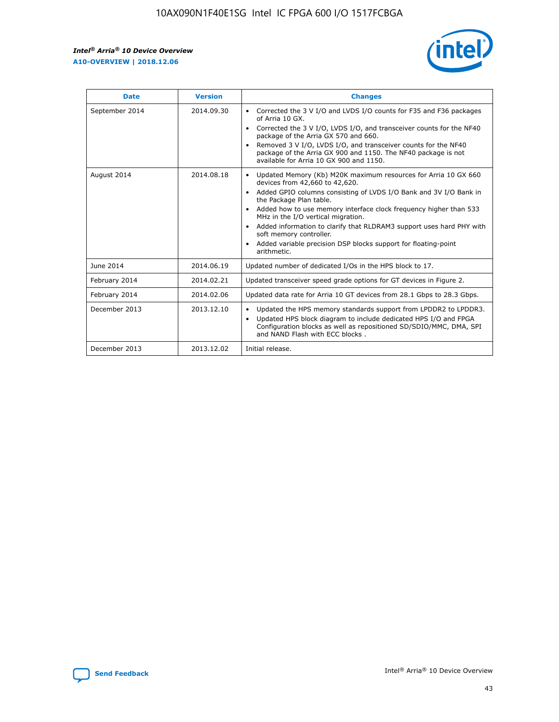r



| <b>Date</b>    | <b>Version</b> | <b>Changes</b>                                                                                                                                                                                                                                                                                                                                                                                                                                                                                                                                      |
|----------------|----------------|-----------------------------------------------------------------------------------------------------------------------------------------------------------------------------------------------------------------------------------------------------------------------------------------------------------------------------------------------------------------------------------------------------------------------------------------------------------------------------------------------------------------------------------------------------|
| September 2014 | 2014.09.30     | Corrected the 3 V I/O and LVDS I/O counts for F35 and F36 packages<br>$\bullet$<br>of Arria 10 GX.<br>Corrected the 3 V I/O, LVDS I/O, and transceiver counts for the NF40<br>$\bullet$<br>package of the Arria GX 570 and 660.<br>Removed 3 V I/O, LVDS I/O, and transceiver counts for the NF40<br>$\bullet$<br>package of the Arria GX 900 and 1150. The NF40 package is not<br>available for Arria 10 GX 900 and 1150.                                                                                                                          |
| August 2014    | 2014.08.18     | Updated Memory (Kb) M20K maximum resources for Arria 10 GX 660<br>devices from 42,660 to 42,620.<br>Added GPIO columns consisting of LVDS I/O Bank and 3V I/O Bank in<br>$\bullet$<br>the Package Plan table.<br>Added how to use memory interface clock frequency higher than 533<br>$\bullet$<br>MHz in the I/O vertical migration.<br>Added information to clarify that RLDRAM3 support uses hard PHY with<br>$\bullet$<br>soft memory controller.<br>Added variable precision DSP blocks support for floating-point<br>$\bullet$<br>arithmetic. |
| June 2014      | 2014.06.19     | Updated number of dedicated I/Os in the HPS block to 17.                                                                                                                                                                                                                                                                                                                                                                                                                                                                                            |
| February 2014  | 2014.02.21     | Updated transceiver speed grade options for GT devices in Figure 2.                                                                                                                                                                                                                                                                                                                                                                                                                                                                                 |
| February 2014  | 2014.02.06     | Updated data rate for Arria 10 GT devices from 28.1 Gbps to 28.3 Gbps.                                                                                                                                                                                                                                                                                                                                                                                                                                                                              |
| December 2013  | 2013.12.10     | Updated the HPS memory standards support from LPDDR2 to LPDDR3.<br>Updated HPS block diagram to include dedicated HPS I/O and FPGA<br>$\bullet$<br>Configuration blocks as well as repositioned SD/SDIO/MMC, DMA, SPI<br>and NAND Flash with ECC blocks.                                                                                                                                                                                                                                                                                            |
| December 2013  | 2013.12.02     | Initial release.                                                                                                                                                                                                                                                                                                                                                                                                                                                                                                                                    |